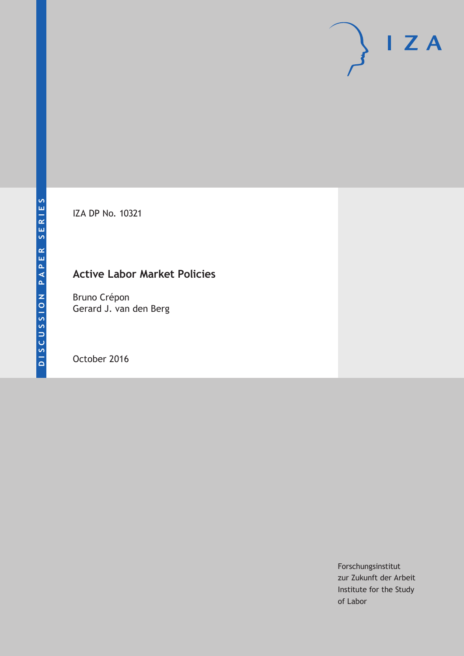IZA DP No. 10321

## **Active Labor Market Policies**

Bruno Crépon Gerard J. van den Berg

October 2016

Forschungsinstitut zur Zukunft der Arbeit Institute for the Study of Labor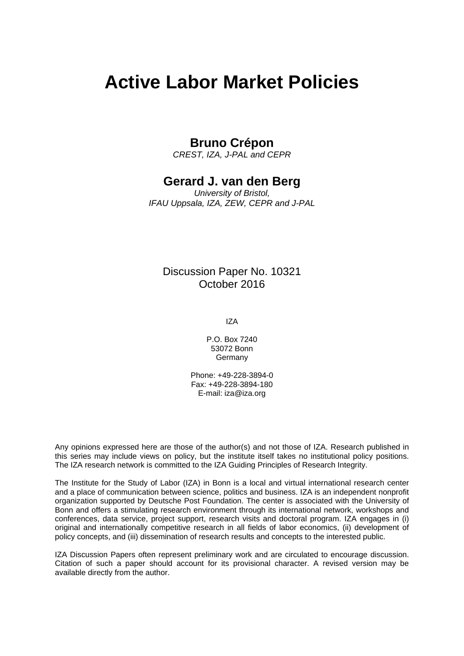# **Active Labor Market Policies**

### **Bruno Crépon**

*CREST, IZA, J-PAL and CEPR* 

### **Gerard J. van den Berg**

*University of Bristol, IFAU Uppsala, IZA, ZEW, CEPR and J-PAL* 

### Discussion Paper No. 10321 October 2016

IZA

P.O. Box 7240 53072 Bonn **Germany** 

Phone: +49-228-3894-0 Fax: +49-228-3894-180 E-mail: iza@iza.org

Any opinions expressed here are those of the author(s) and not those of IZA. Research published in this series may include views on policy, but the institute itself takes no institutional policy positions. The IZA research network is committed to the IZA Guiding Principles of Research Integrity.

The Institute for the Study of Labor (IZA) in Bonn is a local and virtual international research center and a place of communication between science, politics and business. IZA is an independent nonprofit organization supported by Deutsche Post Foundation. The center is associated with the University of Bonn and offers a stimulating research environment through its international network, workshops and conferences, data service, project support, research visits and doctoral program. IZA engages in (i) original and internationally competitive research in all fields of labor economics, (ii) development of policy concepts, and (iii) dissemination of research results and concepts to the interested public.

IZA Discussion Papers often represent preliminary work and are circulated to encourage discussion. Citation of such a paper should account for its provisional character. A revised version may be available directly from the author.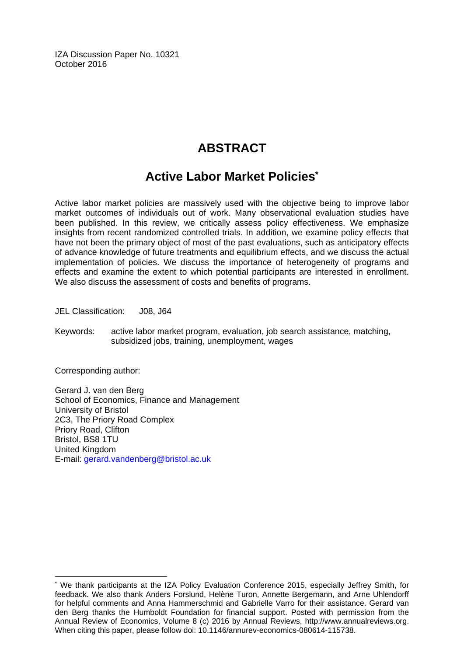IZA Discussion Paper No. 10321 October 2016

# **ABSTRACT**

# **Active Labor Market Policies\***

Active labor market policies are massively used with the objective being to improve labor market outcomes of individuals out of work. Many observational evaluation studies have been published. In this review, we critically assess policy effectiveness. We emphasize insights from recent randomized controlled trials. In addition, we examine policy effects that have not been the primary object of most of the past evaluations, such as anticipatory effects of advance knowledge of future treatments and equilibrium effects, and we discuss the actual implementation of policies. We discuss the importance of heterogeneity of programs and effects and examine the extent to which potential participants are interested in enrollment. We also discuss the assessment of costs and benefits of programs.

JEL Classification: J08, J64

Keywords: active labor market program, evaluation, job search assistance, matching, subsidized jobs, training, unemployment, wages

Corresponding author:

 $\overline{a}$ 

Gerard J. van den Berg School of Economics, Finance and Management University of Bristol 2C3, The Priory Road Complex Priory Road, Clifton Bristol, BS8 1TU United Kingdom E-mail: gerard.vandenberg@bristol.ac.uk

<sup>\*</sup> We thank participants at the IZA Policy Evaluation Conference 2015, especially Jeffrey Smith, for feedback. We also thank Anders Forslund, Helène Turon, Annette Bergemann, and Arne Uhlendorff for helpful comments and Anna Hammerschmid and Gabrielle Varro for their assistance. Gerard van den Berg thanks the Humboldt Foundation for financial support. Posted with permission from the Annual Review of Economics, Volume 8 (c) 2016 by Annual Reviews, http://www.annualreviews.org. When citing this paper, please follow doi: 10.1146/annurev-economics-080614-115738.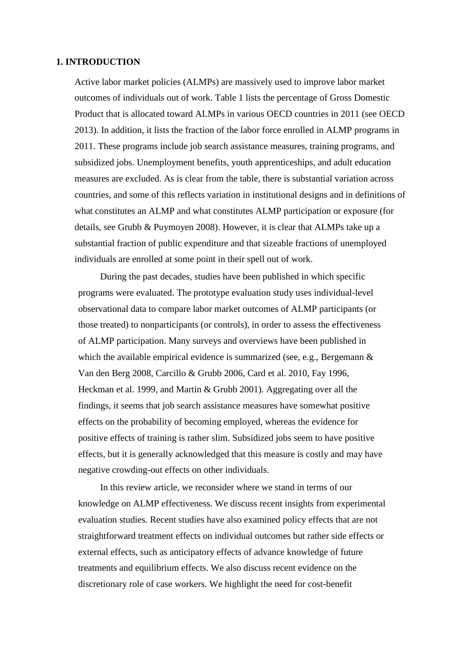#### **1. INTRODUCTION**

Active labor market policies (ALMPs) are massively used to improve labor market outcomes of individuals out of work. Table 1 lists the percentage of Gross Domestic Product that is allocated toward ALMPs in various OECD countries in 2011 (see [OECD](#page-41-0)  [2013\)](#page-41-0). In addition, it lists the fraction of the labor force enrolled in ALMP programs in 2011. These programs include job search assistance measures, training programs, and subsidized jobs. Unemployment benefits, youth apprenticeships, and adult education measures are excluded. As is clear from the table, there is substantial variation across countries, and some of this reflects variation in institutional designs and in definitions of what constitutes an ALMP and what constitutes ALMP participation or exposure (for details, see Grubb & Puymoyen 2008). However, it is clear that ALMPs take up a substantial fraction of public expenditure and that sizeable fractions of unemployed individuals are enrolled at some point in their spell out of work.

During the past decades, studies have been published in which specific programs were evaluated. The prototype evaluation study uses individual-level observational data to compare labor market outcomes of ALMP participants (or those treated) to nonparticipants (or controls), in order to assess the effectiveness of ALMP participation. Many surveys and overviews have been published in which the available empirical evidence is summarized (see, e.g., Bergemann  $\&$ [Van den Berg 2008,](#page-36-0) [Carcillo & Grubb 2006,](#page-37-0) [Card et al. 2010,](#page-37-1) [Fay 1996,](#page-38-0) [Heckman et al. 1999,](#page-39-0) and [Martin & Grubb 2001\)](#page-41-1). Aggregating over all the findings, it seems that job search assistance measures have somewhat positive effects on the probability of becoming employed, whereas the evidence for positive effects of training is rather slim. Subsidized jobs seem to have positive effects, but it is generally acknowledged that this measure is costly and may have negative crowding-out effects on other individuals.

In this review article, we reconsider where we stand in terms of our knowledge on ALMP effectiveness. We discuss recent insights from experimental evaluation studies. Recent studies have also examined policy effects that are not straightforward treatment effects on individual outcomes but rather side effects or external effects, such as anticipatory effects of advance knowledge of future treatments and equilibrium effects. We also discuss recent evidence on the discretionary role of case workers. We highlight the need for cost-benefit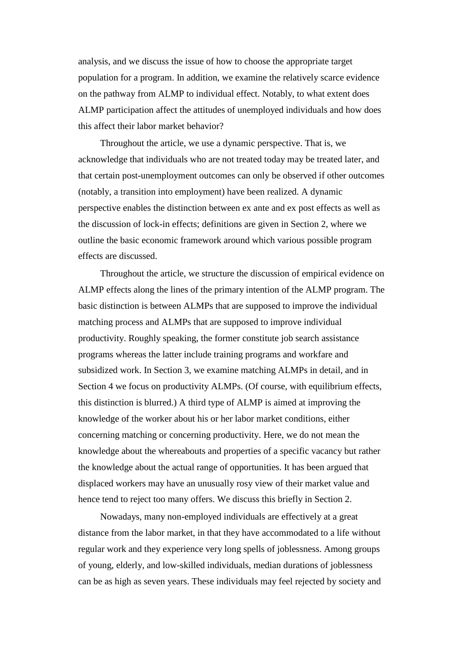analysis, and we discuss the issue of how to choose the appropriate target population for a program. In addition, we examine the relatively scarce evidence on the pathway from ALMP to individual effect. Notably, to what extent does ALMP participation affect the attitudes of unemployed individuals and how does this affect their labor market behavior?

Throughout the article, we use a dynamic perspective. That is, we acknowledge that individuals who are not treated today may be treated later, and that certain post-unemployment outcomes can only be observed if other outcomes (notably, a transition into employment) have been realized. A dynamic perspective enables the distinction between ex ante and ex post effects as well as the discussion of lock-in effects; definitions are given in Section 2, where we outline the basic economic framework around which various possible program effects are discussed.

Throughout the article, we structure the discussion of empirical evidence on ALMP effects along the lines of the primary intention of the ALMP program. The basic distinction is between ALMPs that are supposed to improve the individual matching process and ALMPs that are supposed to improve individual productivity. Roughly speaking, the former constitute job search assistance programs whereas the latter include training programs and workfare and subsidized work. In Section 3, we examine matching ALMPs in detail, and in Section 4 we focus on productivity ALMPs. (Of course, with equilibrium effects, this distinction is blurred.) A third type of ALMP is aimed at improving the knowledge of the worker about his or her labor market conditions, either concerning matching or concerning productivity. Here, we do not mean the knowledge about the whereabouts and properties of a specific vacancy but rather the knowledge about the actual range of opportunities. It has been argued that displaced workers may have an unusually rosy view of their market value and hence tend to reject too many offers. We discuss this briefly in Section 2.

Nowadays, many non-employed individuals are effectively at a great distance from the labor market, in that they have accommodated to a life without regular work and they experience very long spells of joblessness. Among groups of young, elderly, and low-skilled individuals, median durations of joblessness can be as high as seven years. These individuals may feel rejected by society and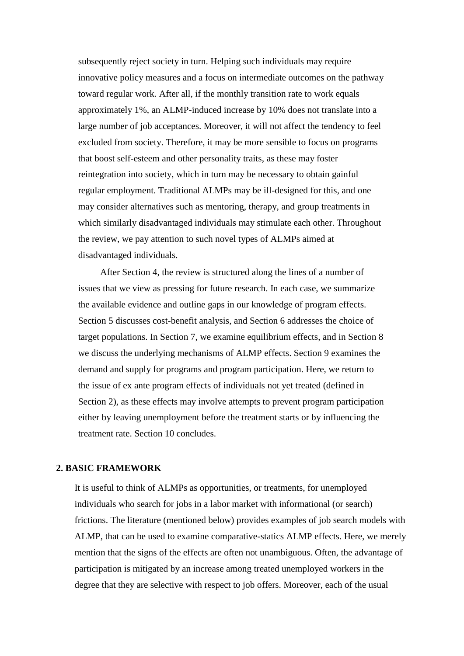subsequently reject society in turn. Helping such individuals may require innovative policy measures and a focus on intermediate outcomes on the pathway toward regular work. After all, if the monthly transition rate to work equals approximately 1%, an ALMP-induced increase by 10% does not translate into a large number of job acceptances. Moreover, it will not affect the tendency to feel excluded from society. Therefore, it may be more sensible to focus on programs that boost self-esteem and other personality traits, as these may foster reintegration into society, which in turn may be necessary to obtain gainful regular employment. Traditional ALMPs may be ill-designed for this, and one may consider alternatives such as mentoring, therapy, and group treatments in which similarly disadvantaged individuals may stimulate each other. Throughout the review, we pay attention to such novel types of ALMPs aimed at disadvantaged individuals.

After Section 4, the review is structured along the lines of a number of issues that we view as pressing for future research. In each case, we summarize the available evidence and outline gaps in our knowledge of program effects. Section 5 discusses cost-benefit analysis, and Section 6 addresses the choice of target populations. In Section 7, we examine equilibrium effects, and in Section 8 we discuss the underlying mechanisms of ALMP effects. Section 9 examines the demand and supply for programs and program participation. Here, we return to the issue of ex ante program effects of individuals not yet treated (defined in Section 2), as these effects may involve attempts to prevent program participation either by leaving unemployment before the treatment starts or by influencing the treatment rate. Section 10 concludes.

#### **2. BASIC FRAMEWORK**

It is useful to think of ALMPs as opportunities, or treatments, for unemployed individuals who search for jobs in a labor market with informational (or search) frictions. The literature (mentioned below) provides examples of job search models with ALMP, that can be used to examine comparative-statics ALMP effects. Here, we merely mention that the signs of the effects are often not unambiguous. Often, the advantage of participation is mitigated by an increase among treated unemployed workers in the degree that they are selective with respect to job offers. Moreover, each of the usual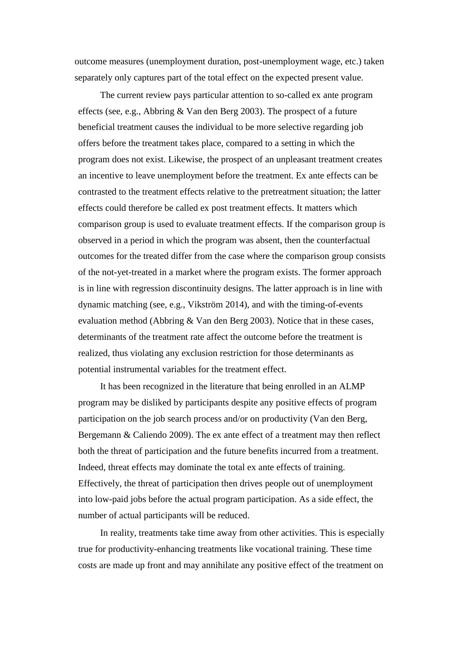outcome measures (unemployment duration, post-unemployment wage, etc.) taken separately only captures part of the total effect on the expected present value.

The current review pays particular attention to so-called ex ante program effects (see, e.g., [Abbring & Van den Berg 2003\)](#page-35-0). The prospect of a future beneficial treatment causes the individual to be more selective regarding job offers before the treatment takes place, compared to a setting in which the program does not exist. Likewise, the prospect of an unpleasant treatment creates an incentive to leave unemployment before the treatment. Ex ante effects can be contrasted to the treatment effects relative to the pretreatment situation; the latter effects could therefore be called ex post treatment effects. It matters which comparison group is used to evaluate treatment effects. If the comparison group is observed in a period in which the program was absent, then the counterfactual outcomes for the treated differ from the case where the comparison group consists of the not-yet-treated in a market where the program exists. The former approach is in line with regression discontinuity designs. The latter approach is in line with dynamic matching (see, e.g., [Vikström 2014\)](#page-42-0), and with the timing-of-events evaluation method [\(Abbring & Van den Berg 2003\)](#page-35-0). Notice that in these cases, determinants of the treatment rate affect the outcome before the treatment is realized, thus violating any exclusion restriction for those determinants as potential instrumental variables for the treatment effect.

It has been recognized in the literature that being enrolled in an ALMP program may be disliked by participants despite any positive effects of program participation on the job search process and/or on productivity (Van den Berg, Bergemann & Caliendo 2009). The ex ante effect of a treatment may then reflect both the threat of participation and the future benefits incurred from a treatment. Indeed, threat effects may dominate the total ex ante effects of training. Effectively, the threat of participation then drives people out of unemployment into low-paid jobs before the actual program participation. As a side effect, the number of actual participants will be reduced.

In reality, treatments take time away from other activities. This is especially true for productivity-enhancing treatments like vocational training. These time costs are made up front and may annihilate any positive effect of the treatment on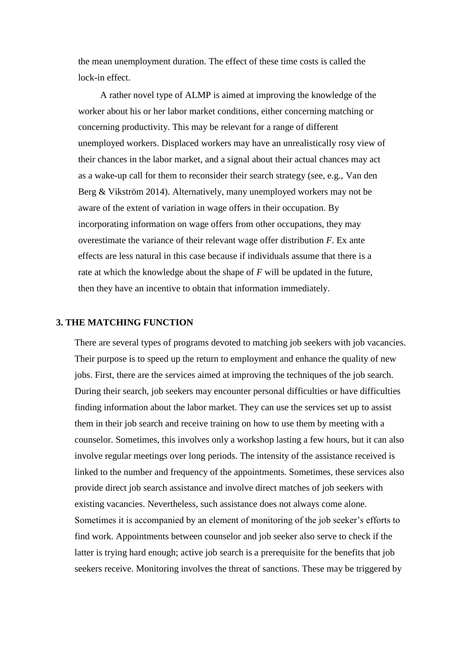the mean unemployment duration. The effect of these time costs is called the lock-in effect.

A rather novel type of ALMP is aimed at improving the knowledge of the worker about his or her labor market conditions, either concerning matching or concerning productivity. This may be relevant for a range of different unemployed workers. Displaced workers may have an unrealistically rosy view of their chances in the labor market, and a signal about their actual chances may act as a wake-up call for them to reconsider their search strategy (see, e.g., [Van den](#page-42-0)  [Berg & Vikström 2014\)](#page-42-0). Alternatively, many unemployed workers may not be aware of the extent of variation in wage offers in their occupation. By incorporating information on wage offers from other occupations, they may overestimate the variance of their relevant wage offer distribution *F*. Ex ante effects are less natural in this case because if individuals assume that there is a rate at which the knowledge about the shape of *F* will be updated in the future, then they have an incentive to obtain that information immediately.

#### **3. THE MATCHING FUNCTION**

There are several types of programs devoted to matching job seekers with job vacancies. Their purpose is to speed up the return to employment and enhance the quality of new jobs. First, there are the services aimed at improving the techniques of the job search. During their search, job seekers may encounter personal difficulties or have difficulties finding information about the labor market. They can use the services set up to assist them in their job search and receive training on how to use them by meeting with a counselor. Sometimes, this involves only a workshop lasting a few hours, but it can also involve regular meetings over long periods. The intensity of the assistance received is linked to the number and frequency of the appointments. Sometimes, these services also provide direct job search assistance and involve direct matches of job seekers with existing vacancies. Nevertheless, such assistance does not always come alone. Sometimes it is accompanied by an element of monitoring of the job seeker's efforts to find work. Appointments between counselor and job seeker also serve to check if the latter is trying hard enough; active job search is a prerequisite for the benefits that job seekers receive. Monitoring involves the threat of sanctions. These may be triggered by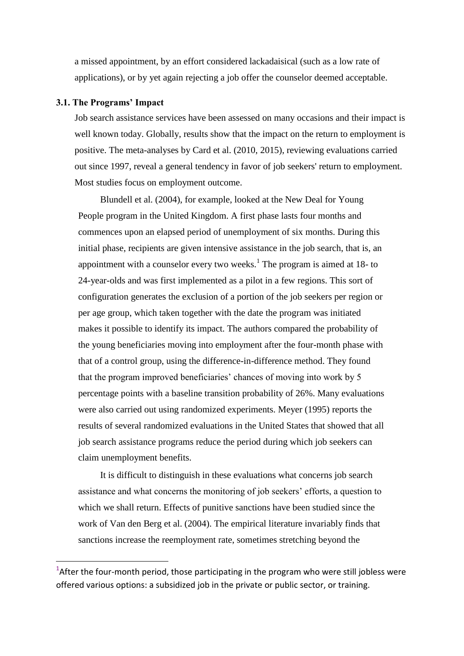a missed appointment, by an effort considered lackadaisical (such as a low rate of applications), or by yet again rejecting a job offer the counselor deemed acceptable.

#### **3.1. The Programs' Impact**

1

Job search assistance services have been assessed on many occasions and their impact is well known today. Globally, results show that the impact on the return to employment is positive. The meta-analyses by [Card et al. \(2010,](#page-37-1) [2015\)](#page-37-2), reviewing evaluations carried out since 1997, reveal a general tendency in favor of job seekers' return to employment. Most studies focus on employment outcome.

[Blundell et al. \(2004\),](#page-36-1) for example, looked at the New Deal for Young People program in the United Kingdom. A first phase lasts four months and commences upon an elapsed period of unemployment of six months. During this initial phase, recipients are given intensive assistance in the job search, that is, an appointment with a counselor every two weeks.<sup>1</sup> The program is aimed at 18- to 24-year-olds and was first implemented as a pilot in a few regions. This sort of configuration generates the exclusion of a portion of the job seekers per region or per age group, which taken together with the date the program was initiated makes it possible to identify its impact. The authors compared the probability of the young beneficiaries moving into employment after the four-month phase with that of a control group, using the difference-in-difference method. They found that the program improved beneficiaries' chances of moving into work by 5 percentage points with a baseline transition probability of 26%. Many evaluations were also carried out using randomized experiments. [Meyer \(1995\)](#page-41-2) reports the results of several randomized evaluations in the United States that showed that all job search assistance programs reduce the period during which job seekers can claim unemployment benefits.

It is difficult to distinguish in these evaluations what concerns job search assistance and what concerns the monitoring of job seekers' efforts, a question to which we shall return. Effects of punitive sanctions have been studied since the work of [Van den Berg et al. \(2004\).](#page-42-1) The empirical literature invariably finds that sanctions increase the reemployment rate, sometimes stretching beyond the

<sup>&</sup>lt;sup>1</sup>After the four-month period, those participating in the program who were still jobless were offered various options: a subsidized job in the private or public sector, or training.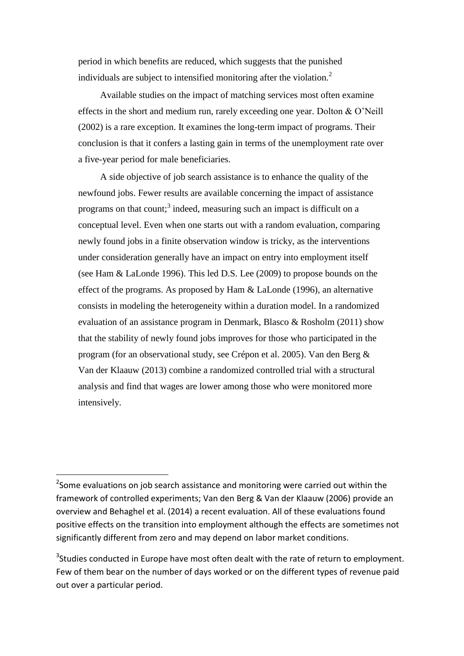period in which benefits are reduced, which suggests that the punished individuals are subject to intensified monitoring after the violation.<sup>2</sup>

Available studies on the impact of matching services most often examine effects in the short and medium run, rarely exceeding one year. [Dolton & O'Neill](#page-38-1)  [\(2002\)](#page-38-1) is a rare exception. It examines the long-term impact of programs. Their conclusion is that it confers a lasting gain in terms of the unemployment rate over a five-year period for male beneficiaries.

A side objective of job search assistance is to enhance the quality of the newfound jobs. Fewer results are available concerning the impact of assistance programs on that count;<sup>3</sup> indeed, measuring such an impact is difficult on a conceptual level. Even when one starts out with a random evaluation, comparing newly found jobs in a finite observation window is tricky, as the interventions under consideration generally have an impact on entry into employment itself (see [Ham & LaLonde 1996\)](#page-39-1). This led D.S. [Lee \(2009\)](#page-40-0) to propose bounds on the effect of the programs. As proposed by [Ham & LaLonde \(1996\),](#page-39-1) an alternative consists in modeling the heterogeneity within a duration model. In a randomized evaluation of an assistance program in Denmark, [Blasco & Rosholm \(2011\)](#page-36-2) show that the stability of newly found jobs improves for those who participated in the program (for an observational study, see [Crépon et al. 2005\).](#page-38-2) [Van den Berg &](#page-42-0)  [Van der Klaauw \(2013\)](#page-42-0) combine a randomized controlled trial with a structural analysis and find that wages are lower among those who were monitored more intensively.

1

<sup>&</sup>lt;sup>2</sup>Some evaluations on job search assistance and monitoring were carried out within the framework of controlled experiments; [Van den Berg & Van der Klaauw \(2006\)](#page-42-0) provide an overview and [Behaghel et al. \(2014\)](#page-35-1) a recent evaluation. All of these evaluations found positive effects on the transition into employment although the effects are sometimes not significantly different from zero and may depend on labor market conditions.

<sup>&</sup>lt;sup>3</sup>Studies conducted in Europe have most often dealt with the rate of return to employment. Few of them bear on the number of days worked or on the different types of revenue paid out over a particular period.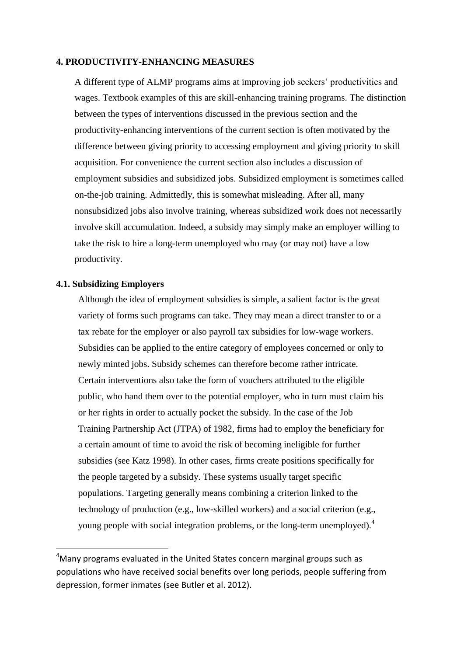#### **4. PRODUCTIVITY-ENHANCING MEASURES**

A different type of ALMP programs aims at improving job seekers' productivities and wages. Textbook examples of this are skill-enhancing training programs. The distinction between the types of interventions discussed in the previous section and the productivity-enhancing interventions of the current section is often motivated by the difference between giving priority to accessing employment and giving priority to skill acquisition. For convenience the current section also includes a discussion of employment subsidies and subsidized jobs. Subsidized employment is sometimes called on-the-job training. Admittedly, this is somewhat misleading. After all, many nonsubsidized jobs also involve training, whereas subsidized work does not necessarily involve skill accumulation. Indeed, a subsidy may simply make an employer willing to take the risk to hire a long-term unemployed who may (or may not) have a low productivity.

#### **4.1. Subsidizing Employers**

<u>.</u>

Although the idea of employment subsidies is simple, a salient factor is the great variety of forms such programs can take. They may mean a direct transfer to or a tax rebate for the employer or also payroll tax subsidies for low-wage workers. Subsidies can be applied to the entire category of employees concerned or only to newly minted jobs. Subsidy schemes can therefore become rather intricate. Certain interventions also take the form of vouchers attributed to the eligible public, who hand them over to the potential employer, who in turn must claim his or her rights in order to actually pocket the subsidy. In the case of the Job Training Partnership Act (JTPA) of 1982, firms had to employ the beneficiary for a certain amount of time to avoid the risk of becoming ineligible for further subsidies (see [Katz 1998\).](#page-40-1) In other cases, firms create positions specifically for the people targeted by a subsidy. These systems usually target specific populations. Targeting generally means combining a criterion linked to the technology of production (e.g., low-skilled workers) and a social criterion (e.g., young people with social integration problems, or the long-term unemployed).<sup>4</sup>

 $4$ Many programs evaluated in the United States concern marginal groups such as populations who have received social benefits over long periods, people suffering from depression, former inmates (see [Butler et al. 2012\)](#page-37-3).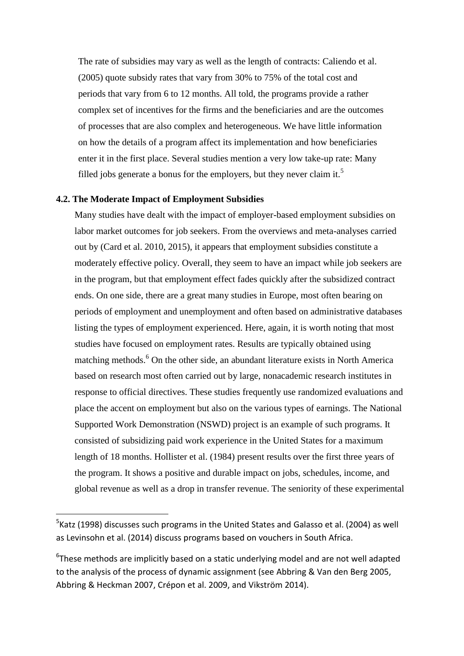The rate of subsidies may vary as well as the length of contracts: [Caliendo et al.](#page-37-4)  [\(2005\)](#page-37-4) quote subsidy rates that vary from 30% to 75% of the total cost and periods that vary from 6 to 12 months. All told, the programs provide a rather complex set of incentives for the firms and the beneficiaries and are the outcomes of processes that are also complex and heterogeneous. We have little information on how the details of a program affect its implementation and how beneficiaries enter it in the first place. Several studies mention a very low take-up rate: Many filled jobs generate a bonus for the employers, but they never claim it.<sup>5</sup>

#### **4.2. The Moderate Impact of Employment Subsidies**

1

Many studies have dealt with the impact of employer-based employment subsidies on labor market outcomes for job seekers. From the overviews and meta-analyses carried out by [\(Card et al. 2010,](#page-37-1) [2015\)](#page-37-2), it appears that employment subsidies constitute a moderately effective policy. Overall, they seem to have an impact while job seekers are in the program, but that employment effect fades quickly after the subsidized contract ends. On one side, there are a great many studies in Europe, most often bearing on periods of employment and unemployment and often based on administrative databases listing the types of employment experienced. Here, again, it is worth noting that most studies have focused on employment rates. Results are typically obtained using matching methods.<sup>6</sup> On the other side, an abundant literature exists in North America based on research most often carried out by large, nonacademic research institutes in response to official directives. These studies frequently use randomized evaluations and place the accent on employment but also on the various types of earnings. The National Supported Work Demonstration (NSWD) project is an example of such programs. It consisted of subsidizing paid work experience in the United States for a maximum length of 18 months. [Hollister et al. \(1984\)](#page-40-2) present results over the first three years of the program. It shows a positive and durable impact on jobs, schedules, income, and global revenue as well as a drop in transfer revenue. The seniority of these experimental

<sup>&</sup>lt;sup>5</sup>[Katz \(1998\)](#page-40-1) discusses such programs in the United States and [Galasso et al. \(2004\)](#page-39-2) as well as [Levinsohn et al. \(2014\)](#page-40-3) discuss programs based on vouchers in South Africa.

<sup>&</sup>lt;sup>6</sup>These methods are implicitly based on a static underlying model and are not well adapted to the analysis of the process of dynamic assignment (see [Abbring & Van den Berg 2005,](#page-35-2) [Abbring & Heckman 2007,](#page-35-3) [Crépon et al. 2009,](#page-37-5) an[d Vikström 2014\).](#page-42-0)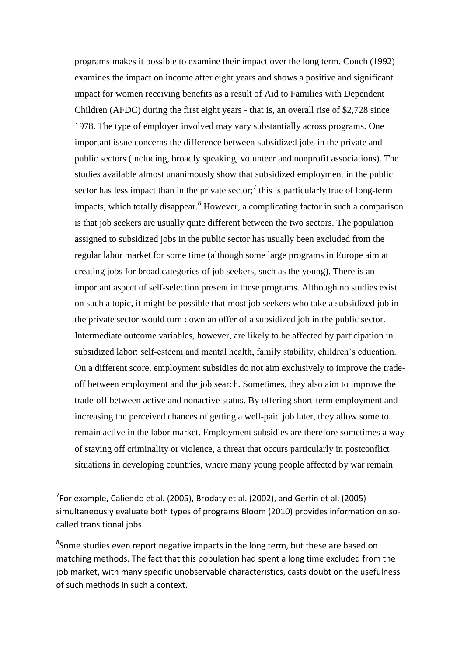programs makes it possible to examine their impact over the long term. [Couch \(1992\)](#page-37-6) examines the impact on income after eight years and shows a positive and significant impact for women receiving benefits as a result of Aid to Families with Dependent Children (AFDC) during the first eight years - that is, an overall rise of \$2,728 since 1978. The type of employer involved may vary substantially across programs. One important issue concerns the difference between subsidized jobs in the private and public sectors (including, broadly speaking, volunteer and nonprofit associations). The studies available almost unanimously show that subsidized employment in the public sector has less impact than in the private sector;<sup>7</sup> this is particularly true of long-term impacts, which totally disappear.<sup>8</sup> However, a complicating factor in such a comparison is that job seekers are usually quite different between the two sectors. The population assigned to subsidized jobs in the public sector has usually been excluded from the regular labor market for some time (although some large programs in Europe aim at creating jobs for broad categories of job seekers, such as the young). There is an important aspect of self-selection present in these programs. Although no studies exist on such a topic, it might be possible that most job seekers who take a subsidized job in the private sector would turn down an offer of a subsidized job in the public sector. Intermediate outcome variables, however, are likely to be affected by participation in subsidized labor: self-esteem and mental health, family stability, children's education. On a different score, employment subsidies do not aim exclusively to improve the tradeoff between employment and the job search. Sometimes, they also aim to improve the trade-off between active and nonactive status. By offering short-term employment and increasing the perceived chances of getting a well-paid job later, they allow some to remain active in the labor market. Employment subsidies are therefore sometimes a way of staving off criminality or violence, a threat that occurs particularly in postconflict situations in developing countries, where many young people affected by war remain

1

 $<sup>7</sup>$ For example, [Caliendo et al. \(2005\),](#page-37-4) [Brodaty et al. \(2002\),](#page-36-3) and [Gerfin et al. \(2005\)](#page-39-3)</sup> simultaneously evaluate both types of programs [Bloom \(2010\)](#page-36-4) provides information on socalled transitional jobs.

<sup>&</sup>lt;sup>8</sup>Some studies even report negative impacts in the long term, but these are based on matching methods. The fact that this population had spent a long time excluded from the job market, with many specific unobservable characteristics, casts doubt on the usefulness of such methods in such a context.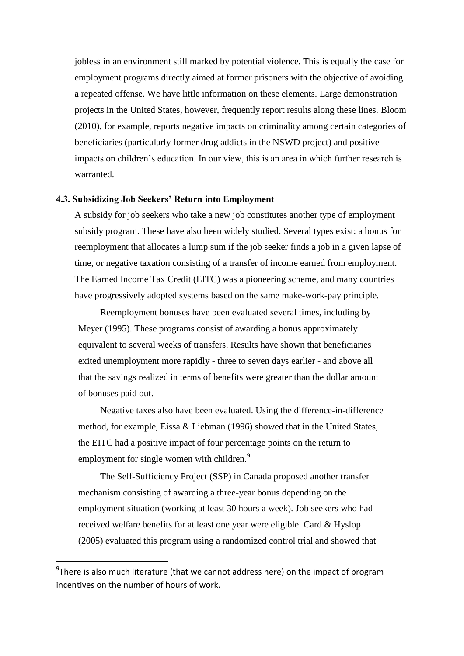jobless in an environment still marked by potential violence. This is equally the case for employment programs directly aimed at former prisoners with the objective of avoiding a repeated offense. We have little information on these elements. Large demonstration projects in the United States, however, frequently report results along these lines. [Bloom](#page-36-4)  [\(2010\),](#page-36-4) for example, reports negative impacts on criminality among certain categories of beneficiaries (particularly former drug addicts in the NSWD project) and positive impacts on children's education. In our view, this is an area in which further research is warranted.

#### **4.3. Subsidizing Job Seekers' Return into Employment**

A subsidy for job seekers who take a new job constitutes another type of employment subsidy program. These have also been widely studied. Several types exist: a bonus for reemployment that allocates a lump sum if the job seeker finds a job in a given lapse of time, or negative taxation consisting of a transfer of income earned from employment. The Earned Income Tax Credit (EITC) was a pioneering scheme, and many countries have progressively adopted systems based on the same make-work-pay principle.

Reemployment bonuses have been evaluated several times, including by [Meyer \(1995\).](#page-41-2) These programs consist of awarding a bonus approximately equivalent to several weeks of transfers. Results have shown that beneficiaries exited unemployment more rapidly - three to seven days earlier - and above all that the savings realized in terms of benefits were greater than the dollar amount of bonuses paid out.

Negative taxes also have been evaluated. Using the difference-in-difference method, for example, [Eissa & Liebman \(1996\)](#page-38-3) showed that in the United States, the EITC had a positive impact of four percentage points on the return to employment for single women with children.<sup>9</sup>

The Self-Sufficiency Project (SSP) in Canada proposed another transfer mechanism consisting of awarding a three-year bonus depending on the employment situation (working at least 30 hours a week). Job seekers who had received welfare benefits for at least one year were eligible. [Card & Hyslop](#page-37-7)  [\(2005\)](#page-37-7) evaluated this program using a randomized control trial and showed that

1

 $9$ There is also much literature (that we cannot address here) on the impact of program incentives on the number of hours of work.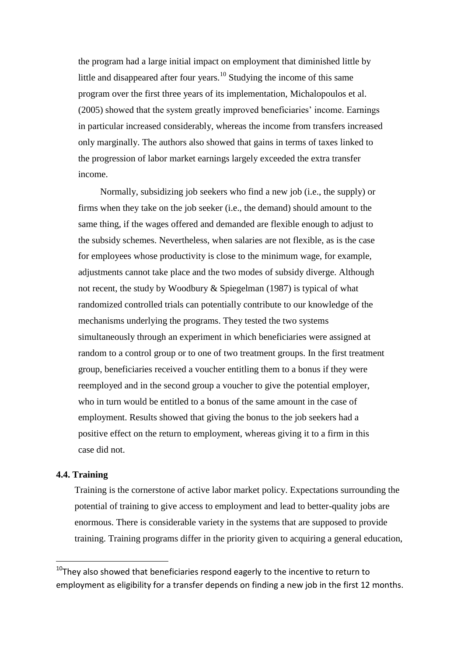the program had a large initial impact on employment that diminished little by little and disappeared after four years.<sup>10</sup> Studying the income of this same program over the first three years of its implementation, [Michalopoulos et al.](#page-41-3)  [\(2005\)](#page-41-3) showed that the system greatly improved beneficiaries' income. Earnings in particular increased considerably, whereas the income from transfers increased only marginally. The authors also showed that gains in terms of taxes linked to the progression of labor market earnings largely exceeded the extra transfer income.

Normally, subsidizing job seekers who find a new job (i.e., the supply) or firms when they take on the job seeker (i.e., the demand) should amount to the same thing, if the wages offered and demanded are flexible enough to adjust to the subsidy schemes. Nevertheless, when salaries are not flexible, as is the case for employees whose productivity is close to the minimum wage, for example, adjustments cannot take place and the two modes of subsidy diverge. Although not recent, the study by [Woodbury & Spiegelman \(1987\)](#page-42-2) is typical of what randomized controlled trials can potentially contribute to our knowledge of the mechanisms underlying the programs. They tested the two systems simultaneously through an experiment in which beneficiaries were assigned at random to a control group or to one of two treatment groups. In the first treatment group, beneficiaries received a voucher entitling them to a bonus if they were reemployed and in the second group a voucher to give the potential employer, who in turn would be entitled to a bonus of the same amount in the case of employment. Results showed that giving the bonus to the job seekers had a positive effect on the return to employment, whereas giving it to a firm in this case did not.

#### **4.4. Training**

1

Training is the cornerstone of active labor market policy. Expectations surrounding the potential of training to give access to employment and lead to better-quality jobs are enormous. There is considerable variety in the systems that are supposed to provide training. Training programs differ in the priority given to acquiring a general education,

 $10$ They also showed that beneficiaries respond eagerly to the incentive to return to employment as eligibility for a transfer depends on finding a new job in the first 12 months.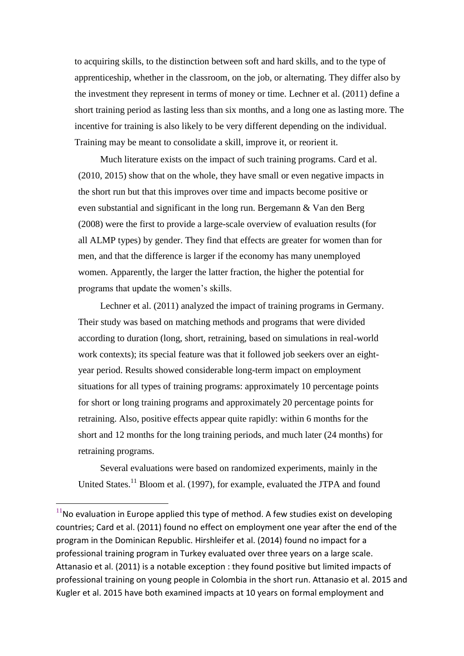to acquiring skills, to the distinction between soft and hard skills, and to the type of apprenticeship, whether in the classroom, on the job, or alternating. They differ also by the investment they represent in terms of money or time. [Lechner et al. \(2011\)](#page-40-4) define a short training period as lasting less than six months, and a long one as lasting more. The incentive for training is also likely to be very different depending on the individual. Training may be meant to consolidate a skill, improve it, or reorient it.

Much literature exists on the impact of such training programs. [Card et al.](#page-37-1)  [\(2010,](#page-37-1) [2015\)](#page-37-2) show that on the whole, they have small or even negative impacts in the short run but that this improves over time and impacts become positive or even substantial and significant in the long run. [Bergemann & Van den Berg](#page-36-0)  [\(2008\)](#page-36-0) were the first to provide a large-scale overview of evaluation results (for all ALMP types) by gender. They find that effects are greater for women than for men, and that the difference is larger if the economy has many unemployed women. Apparently, the larger the latter fraction, the higher the potential for programs that update the women's skills.

[Lechner et al. \(2011\)](#page-40-4) analyzed the impact of training programs in Germany. Their study was based on matching methods and programs that were divided according to duration (long, short, retraining, based on simulations in real-world work contexts); its special feature was that it followed job seekers over an eightyear period. Results showed considerable long-term impact on employment situations for all types of training programs: approximately 10 percentage points for short or long training programs and approximately 20 percentage points for retraining. Also, positive effects appear quite rapidly: within 6 months for the short and 12 months for the long training periods, and much later (24 months) for retraining programs.

Several evaluations were based on randomized experiments, mainly in the United States.<sup>11</sup> [Bloom et al. \(1997\),](#page-36-5) for example, evaluated the JTPA and found

<u>.</u>

 $11$ No evaluation in Europe applied this type of method. A few studies exist on developing countries; [Card et al. \(2011\)](#page-37-1) found no effect on employment one year after the end of the program in the Dominican Republic. [Hirshleifer et al. \(2014\)](#page-40-5) found no impact for a professional training program in Turkey evaluated over three years on a large scale. [Attanasio et al. \(2011\)](#page-35-4) is a notable exception : they found positive but limited impacts of professional training on young people in Colombia in the short run. Attanasio et al. 2015 and Kugler et al. 2015 have both examined impacts at 10 years on formal employment and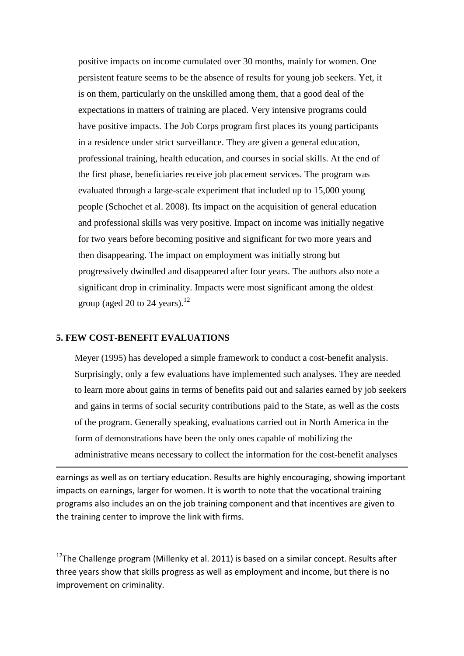positive impacts on income cumulated over 30 months, mainly for women. One persistent feature seems to be the absence of results for young job seekers. Yet, it is on them, particularly on the unskilled among them, that a good deal of the expectations in matters of training are placed. Very intensive programs could have positive impacts. The Job Corps program first places its young participants in a residence under strict surveillance. They are given a general education, professional training, health education, and courses in social skills. At the end of the first phase, beneficiaries receive job placement services. The program was evaluated through a large-scale experiment that included up to 15,000 young people [\(Schochet et al. 2008\)](#page-41-4). Its impact on the acquisition of general education and professional skills was very positive. Impact on income was initially negative for two years before becoming positive and significant for two more years and then disappearing. The impact on employment was initially strong but progressively dwindled and disappeared after four years. The authors also note a significant drop in criminality. Impacts were most significant among the oldest group (aged 20 to 24 years).<sup>12</sup>

#### **5. FEW COST-BENEFIT EVALUATIONS**

1

[Meyer \(1995\)](#page-41-2) has developed a simple framework to conduct a cost-benefit analysis. Surprisingly, only a few evaluations have implemented such analyses. They are needed to learn more about gains in terms of benefits paid out and salaries earned by job seekers and gains in terms of social security contributions paid to the State, as well as the costs of the program. Generally speaking, evaluations carried out in North America in the form of demonstrations have been the only ones capable of mobilizing the administrative means necessary to collect the information for the cost-benefit analyses

earnings as well as on tertiary education. Results are highly encouraging, showing important impacts on earnings, larger for women. It is worth to note that the vocational training programs also includes an on the job training component and that incentives are given to the training center to improve the link with firms.

 $12$ The Challenge program [\(Millenky et al. 2011\)](#page-41-3) is based on a similar concept. Results after three years show that skills progress as well as employment and income, but there is no improvement on criminality.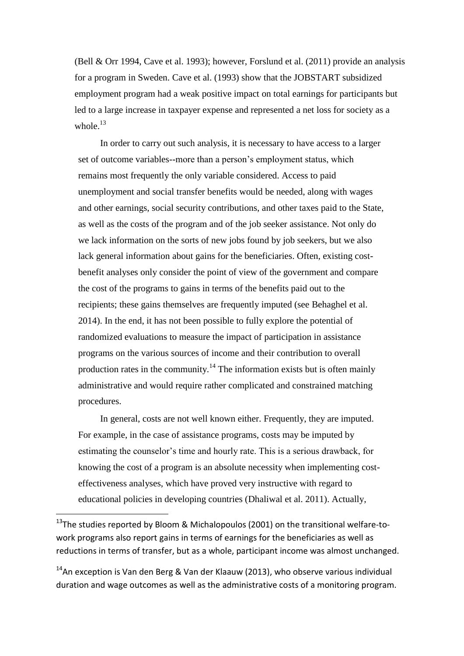[\(Bell & Orr 1994,](#page-36-6) [Cave et al. 1993\)](#page-37-8); however, [Forslund et al. \(2011\)](#page-39-4) provide an analysis for a program in Sweden. [Cave et al. \(1993\)](#page-37-8) show that the JOBSTART subsidized employment program had a weak positive impact on total earnings for participants but led to a large increase in taxpayer expense and represented a net loss for society as a whole  $^{13}$ 

In order to carry out such analysis, it is necessary to have access to a larger set of outcome variables--more than a person's employment status, which remains most frequently the only variable considered. Access to paid unemployment and social transfer benefits would be needed, along with wages and other earnings, social security contributions, and other taxes paid to the State, as well as the costs of the program and of the job seeker assistance. Not only do we lack information on the sorts of new jobs found by job seekers, but we also lack general information about gains for the beneficiaries. Often, existing costbenefit analyses only consider the point of view of the government and compare the cost of the programs to gains in terms of the benefits paid out to the recipients; these gains themselves are frequently imputed (see [Behaghel et al.](#page-35-1)  [2014\)](#page-35-1). In the end, it has not been possible to fully explore the potential of randomized evaluations to measure the impact of participation in assistance programs on the various sources of income and their contribution to overall production rates in the community.<sup>14</sup> The information exists but is often mainly administrative and would require rather complicated and constrained matching procedures.

In general, costs are not well known either. Frequently, they are imputed. For example, in the case of assistance programs, costs may be imputed by estimating the counselor's time and hourly rate. This is a serious drawback, for knowing the cost of a program is an absolute necessity when implementing costeffectiveness analyses, which have proved very instructive with regard to educational policies in developing countries [\(Dhaliwal et al. 2011\)](#page-38-4). Actually,

1

 $14$ An exception is [Van den Berg & Van der Klaauw \(2013\),](#page-42-0) who observe various individual duration and wage outcomes as well as the administrative costs of a monitoring program.

<sup>&</sup>lt;sup>13</sup>The studies reported by [Bloom & Michalopoulos \(2001\)](#page-36-7) on the transitional welfare-towork programs also report gains in terms of earnings for the beneficiaries as well as reductions in terms of transfer, but as a whole, participant income was almost unchanged.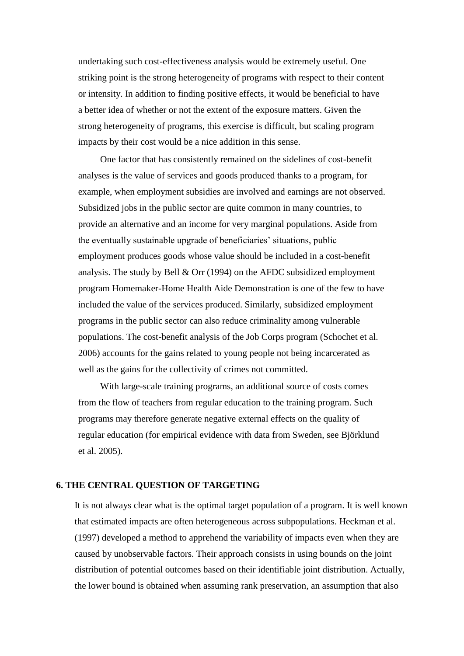undertaking such cost-effectiveness analysis would be extremely useful. One striking point is the strong heterogeneity of programs with respect to their content or intensity. In addition to finding positive effects, it would be beneficial to have a better idea of whether or not the extent of the exposure matters. Given the strong heterogeneity of programs, this exercise is difficult, but scaling program impacts by their cost would be a nice addition in this sense.

One factor that has consistently remained on the sidelines of cost-benefit analyses is the value of services and goods produced thanks to a program, for example, when employment subsidies are involved and earnings are not observed. Subsidized jobs in the public sector are quite common in many countries, to provide an alternative and an income for very marginal populations. Aside from the eventually sustainable upgrade of beneficiaries' situations, public employment produces goods whose value should be included in a cost-benefit analysis. The study by [Bell & Orr \(1994\)](#page-36-6) on the AFDC subsidized employment program Homemaker-Home Health Aide Demonstration is one of the few to have included the value of the services produced. Similarly, subsidized employment programs in the public sector can also reduce criminality among vulnerable populations. The cost-benefit analysis of the Job Corps program [\(Schochet et al.](#page-41-5)  [2006\)](#page-41-5) accounts for the gains related to young people not being incarcerated as well as the gains for the collectivity of crimes not committed.

With large-scale training programs, an additional source of costs comes from the flow of teachers from regular education to the training program. Such programs may therefore generate negative external effects on the quality of regular education (for empirical evidence with data from Sweden, see [Björklund](#page-36-8)  [et al. 2005\)](#page-36-8).

#### **6. THE CENTRAL QUESTION OF TARGETING**

It is not always clear what is the optimal target population of a program. It is well known that estimated impacts are often heterogeneous across subpopulations. [Heckman et al.](#page-39-0)  [\(1997\)](#page-39-0) developed a method to apprehend the variability of impacts even when they are caused by unobservable factors. Their approach consists in using bounds on the joint distribution of potential outcomes based on their identifiable joint distribution. Actually, the lower bound is obtained when assuming rank preservation, an assumption that also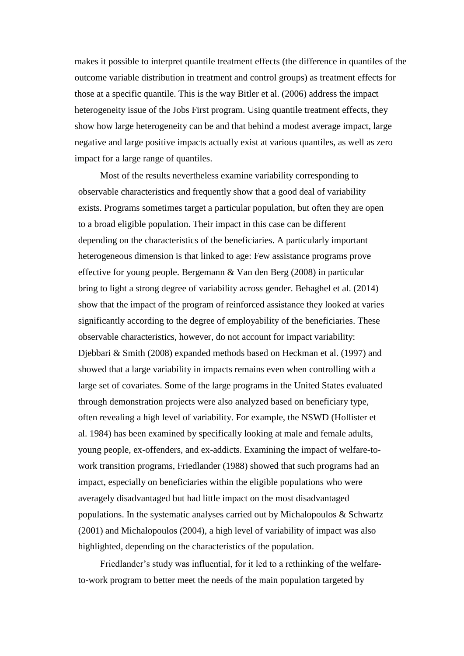makes it possible to interpret quantile treatment effects (the difference in quantiles of the outcome variable distribution in treatment and control groups) as treatment effects for those at a specific quantile. This is the way [Bitler et al. \(2006\)](#page-36-9) address the impact heterogeneity issue of the Jobs First program. Using quantile treatment effects, they show how large heterogeneity can be and that behind a modest average impact, large negative and large positive impacts actually exist at various quantiles, as well as zero impact for a large range of quantiles.

Most of the results nevertheless examine variability corresponding to observable characteristics and frequently show that a good deal of variability exists. Programs sometimes target a particular population, but often they are open to a broad eligible population. Their impact in this case can be different depending on the characteristics of the beneficiaries. A particularly important heterogeneous dimension is that linked to age: Few assistance programs prove effective for young people. [Bergemann & Van den Berg \(2008\)](#page-36-0) in particular bring to light a strong degree of variability across gender. [Behaghel et al. \(2014\)](#page-35-1) show that the impact of the program of reinforced assistance they looked at varies significantly according to the degree of employability of the beneficiaries. These observable characteristics, however, do not account for impact variability: [Djebbari & Smith \(2008\)](#page-38-5) expanded methods based on [Heckman et al. \(1997\)](#page-39-0) and showed that a large variability in impacts remains even when controlling with a large set of covariates. Some of the large programs in the United States evaluated through demonstration projects were also analyzed based on beneficiary type, often revealing a high level of variability. For example, the NSWD [\(Hollister et](#page-40-2)  [al. 1984\)](#page-40-2) has been examined by specifically looking at male and female adults, young people, ex-offenders, and ex-addicts. Examining the impact of welfare-towork transition programs, [Friedlander \(1988\)](#page-39-5) showed that such programs had an impact, especially on beneficiaries within the eligible populations who were averagely disadvantaged but had little impact on the most disadvantaged populations. In the systematic analyses carried out by [Michalopoulos & Schwartz](#page-41-6)  [\(2001\)](#page-41-6) and [Michalopoulos \(2004\),](#page-41-7) a high level of variability of impact was also highlighted, depending on the characteristics of the population.

Friedlander's study was influential, for it led to a rethinking of the welfareto-work program to better meet the needs of the main population targeted by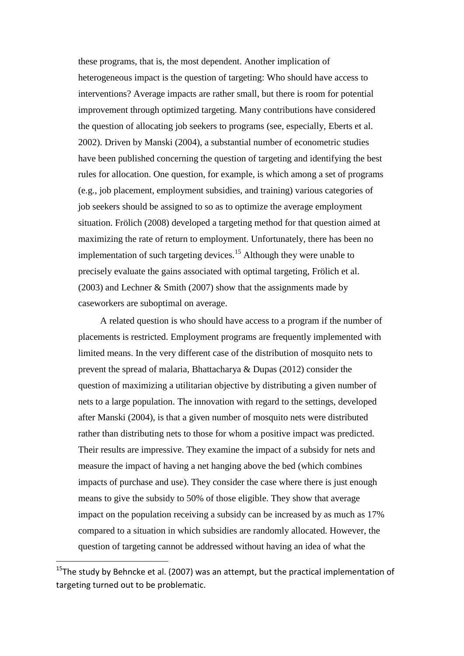these programs, that is, the most dependent. Another implication of heterogeneous impact is the question of targeting: Who should have access to interventions? Average impacts are rather small, but there is room for potential improvement through optimized targeting. Many contributions have considered the question of allocating job seekers to programs (see, especially, [Eberts et al.](#page-38-6)  [2002\)](#page-38-6). Driven by [Manski \(2004\),](#page-41-8) a substantial number of econometric studies have been published concerning the question of targeting and identifying the best rules for allocation. One question, for example, is which among a set of programs (e.g., job placement, employment subsidies, and training) various categories of job seekers should be assigned to so as to optimize the average employment situation. [Frölich \(2008\)](#page-39-6) developed a targeting method for that question aimed at maximizing the rate of return to employment. Unfortunately, there has been no implementation of such targeting devices.<sup>15</sup> Although they were unable to precisely evaluate the gains associated with optimal targeting, [Frölich et al.](#page-39-7)  [\(2003\)](#page-39-7) and [Lechner & Smith \(2007\)](#page-40-4) show that the assignments made by caseworkers are suboptimal on average.

A related question is who should have access to a program if the number of placements is restricted. Employment programs are frequently implemented with limited means. In the very different case of the distribution of mosquito nets to prevent the spread of malaria, [Bhattacharya & Dupas \(2012\)](#page-36-10) consider the question of maximizing a utilitarian objective by distributing a given number of nets to a large population. The innovation with regard to the settings, developed after [Manski \(2004\),](#page-41-8) is that a given number of mosquito nets were distributed rather than distributing nets to those for whom a positive impact was predicted. Their results are impressive. They examine the impact of a subsidy for nets and measure the impact of having a net hanging above the bed (which combines impacts of purchase and use). They consider the case where there is just enough means to give the subsidy to 50% of those eligible. They show that average impact on the population receiving a subsidy can be increased by as much as 17% compared to a situation in which subsidies are randomly allocated. However, the question of targeting cannot be addressed without having an idea of what the

1

 $15$ The study by [Behncke et al. \(2007\)](#page-35-5) was an attempt, but the practical implementation of targeting turned out to be problematic.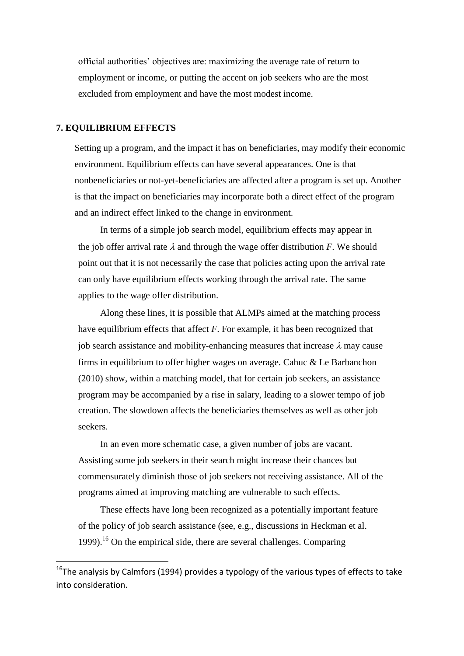official authorities' objectives are: maximizing the average rate of return to employment or income, or putting the accent on job seekers who are the most excluded from employment and have the most modest income.

#### **7. EQUILIBRIUM EFFECTS**

1

Setting up a program, and the impact it has on beneficiaries, may modify their economic environment. Equilibrium effects can have several appearances. One is that nonbeneficiaries or not-yet-beneficiaries are affected after a program is set up. Another is that the impact on beneficiaries may incorporate both a direct effect of the program and an indirect effect linked to the change in environment.

In terms of a simple job search model, equilibrium effects may appear in the job offer arrival rate  $\lambda$  and through the wage offer distribution *F*. We should point out that it is not necessarily the case that policies acting upon the arrival rate can only have equilibrium effects working through the arrival rate. The same applies to the wage offer distribution.

Along these lines, it is possible that ALMPs aimed at the matching process have equilibrium effects that affect *F*. For example, it has been recognized that job search assistance and mobility-enhancing measures that increase  $\lambda$  may cause firms in equilibrium to offer higher wages on average. [Cahuc & Le Barbanchon](#page-37-9)  [\(2010\)](#page-37-9) show, within a matching model, that for certain job seekers, an assistance program may be accompanied by a rise in salary, leading to a slower tempo of job creation. The slowdown affects the beneficiaries themselves as well as other job seekers.

In an even more schematic case, a given number of jobs are vacant. Assisting some job seekers in their search might increase their chances but commensurately diminish those of job seekers not receiving assistance. All of the programs aimed at improving matching are vulnerable to such effects.

These effects have long been recognized as a potentially important feature of the policy of job search assistance (see, e.g., discussions in [Heckman et al.](#page-39-0)  [1999\)](#page-39-0).<sup>16</sup> On the empirical side, there are several challenges. Comparing

 $16$ The analysis by [Calmfors \(1994\)](#page-37-10) provides a typology of the various types of effects to take into consideration.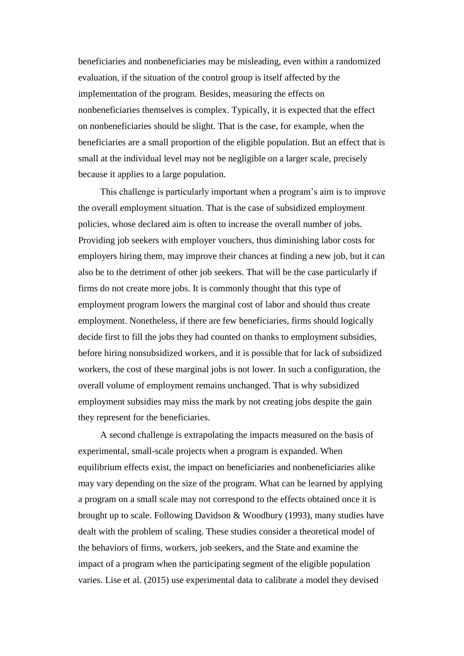beneficiaries and nonbeneficiaries may be misleading, even within a randomized evaluation, if the situation of the control group is itself affected by the implementation of the program. Besides, measuring the effects on nonbeneficiaries themselves is complex. Typically, it is expected that the effect on nonbeneficiaries should be slight. That is the case, for example, when the beneficiaries are a small proportion of the eligible population. But an effect that is small at the individual level may not be negligible on a larger scale, precisely because it applies to a large population.

This challenge is particularly important when a program's aim is to improve the overall employment situation. That is the case of subsidized employment policies, whose declared aim is often to increase the overall number of jobs. Providing job seekers with employer vouchers, thus diminishing labor costs for employers hiring them, may improve their chances at finding a new job, but it can also be to the detriment of other job seekers. That will be the case particularly if firms do not create more jobs. It is commonly thought that this type of employment program lowers the marginal cost of labor and should thus create employment. Nonetheless, if there are few beneficiaries, firms should logically decide first to fill the jobs they had counted on thanks to employment subsidies, before hiring nonsubsidized workers, and it is possible that for lack of subsidized workers, the cost of these marginal jobs is not lower. In such a configuration, the overall volume of employment remains unchanged. That is why subsidized employment subsidies may miss the mark by not creating jobs despite the gain they represent for the beneficiaries.

A second challenge is extrapolating the impacts measured on the basis of experimental, small-scale projects when a program is expanded. When equilibrium effects exist, the impact on beneficiaries and nonbeneficiaries alike may vary depending on the size of the program. What can be learned by applying a program on a small scale may not correspond to the effects obtained once it is brought up to scale. Following [Davidson & Woodbury \(1993\),](#page-38-7) many studies have dealt with the problem of scaling. These studies consider a theoretical model of the behaviors of firms, workers, job seekers, and the State and examine the impact of a program when the participating segment of the eligible population varies. [Lise et al. \(2015\)](#page-41-9) use experimental data to calibrate a model they devised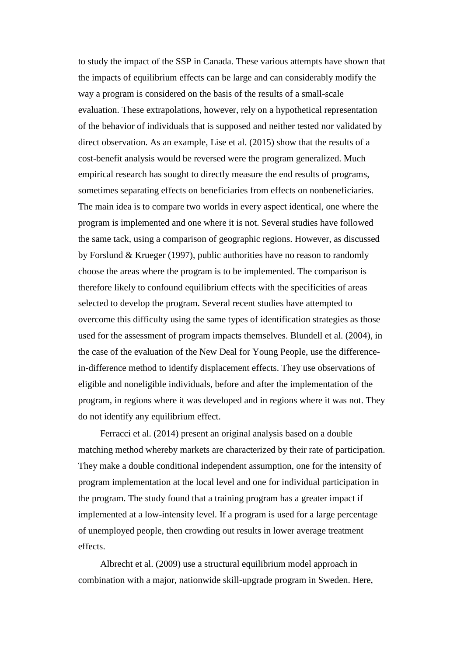to study the impact of the SSP in Canada. These various attempts have shown that the impacts of equilibrium effects can be large and can considerably modify the way a program is considered on the basis of the results of a small-scale evaluation. These extrapolations, however, rely on a hypothetical representation of the behavior of individuals that is supposed and neither tested nor validated by direct observation. As an example, [Lise et al. \(2015\)](#page-41-9) show that the results of a cost-benefit analysis would be reversed were the program generalized. Much empirical research has sought to directly measure the end results of programs, sometimes separating effects on beneficiaries from effects on nonbeneficiaries. The main idea is to compare two worlds in every aspect identical, one where the program is implemented and one where it is not. Several studies have followed the same tack, using a comparison of geographic regions. However, as discussed by [Forslund & Krueger \(1997\),](#page-38-8) public authorities have no reason to randomly choose the areas where the program is to be implemented. The comparison is therefore likely to confound equilibrium effects with the specificities of areas selected to develop the program. Several recent studies have attempted to overcome this difficulty using the same types of identification strategies as those used for the assessment of program impacts themselves. [Blundell et al. \(2004\),](#page-36-1) in the case of the evaluation of the New Deal for Young People, use the differencein-difference method to identify displacement effects. They use observations of eligible and noneligible individuals, before and after the implementation of the program, in regions where it was developed and in regions where it was not. They do not identify any equilibrium effect.

[Ferracci et al. \(2014\)](#page-38-9) present an original analysis based on a double matching method whereby markets are characterized by their rate of participation. They make a double conditional independent assumption, one for the intensity of program implementation at the local level and one for individual participation in the program. The study found that a training program has a greater impact if implemented at a low-intensity level. If a program is used for a large percentage of unemployed people, then crowding out results in lower average treatment effects.

[Albrecht et al. \(2009\)](#page-35-6) use a structural equilibrium model approach in combination with a major, nationwide skill-upgrade program in Sweden. Here,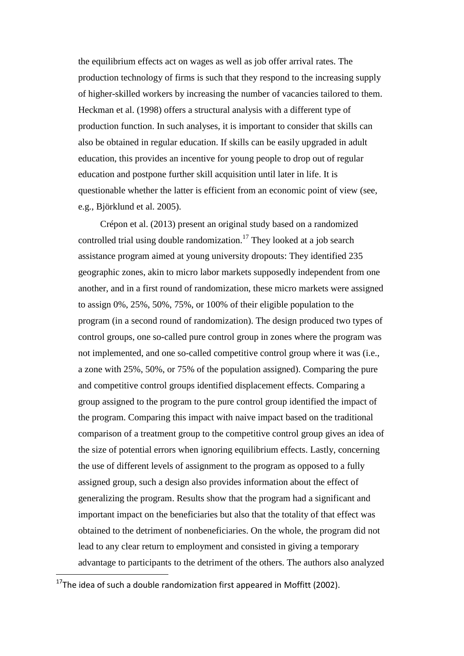the equilibrium effects act on wages as well as job offer arrival rates. The production technology of firms is such that they respond to the increasing supply of higher-skilled workers by increasing the number of vacancies tailored to them. [Heckman et al. \(1998\)](#page-39-8) offers a structural analysis with a different type of production function. In such analyses, it is important to consider that skills can also be obtained in regular education. If skills can be easily upgraded in adult education, this provides an incentive for young people to drop out of regular education and postpone further skill acquisition until later in life. It is questionable whether the latter is efficient from an economic point of view (see, e.g., [Björklund et al. 2005\)](#page-36-8).

[Crépon et al. \(2013\)](#page-38-2) present an original study based on a randomized controlled trial using double randomization.<sup>17</sup> They looked at a job search assistance program aimed at young university dropouts: They identified 235 geographic zones, akin to micro labor markets supposedly independent from one another, and in a first round of randomization, these micro markets were assigned to assign 0%, 25%, 50%, 75%, or 100% of their eligible population to the program (in a second round of randomization). The design produced two types of control groups, one so-called pure control group in zones where the program was not implemented, and one so-called competitive control group where it was (i.e., a zone with 25%, 50%, or 75% of the population assigned). Comparing the pure and competitive control groups identified displacement effects. Comparing a group assigned to the program to the pure control group identified the impact of the program. Comparing this impact with naive impact based on the traditional comparison of a treatment group to the competitive control group gives an idea of the size of potential errors when ignoring equilibrium effects. Lastly, concerning the use of different levels of assignment to the program as opposed to a fully assigned group, such a design also provides information about the effect of generalizing the program. Results show that the program had a significant and important impact on the beneficiaries but also that the totality of that effect was obtained to the detriment of nonbeneficiaries. On the whole, the program did not lead to any clear return to employment and consisted in giving a temporary advantage to participants to the detriment of the others. The authors also analyzed

<u>.</u>

 $17$ The idea of such a double randomization first appeared in [Moffitt \(2002\).](#page-41-10)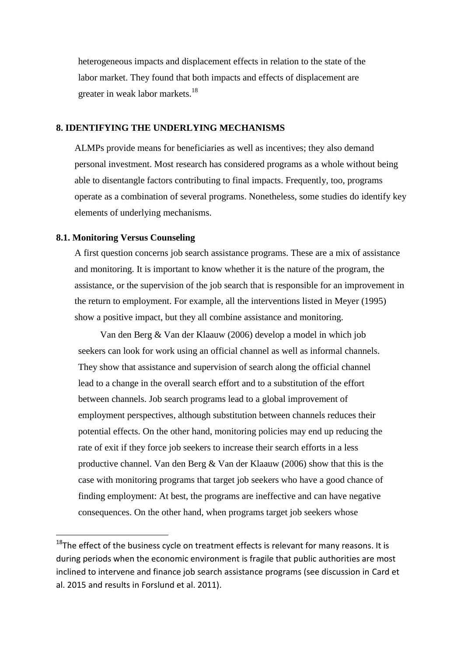heterogeneous impacts and displacement effects in relation to the state of the labor market. They found that both impacts and effects of displacement are greater in weak labor markets.<sup>18</sup>

#### **8. IDENTIFYING THE UNDERLYING MECHANISMS**

ALMPs provide means for beneficiaries as well as incentives; they also demand personal investment. Most research has considered programs as a whole without being able to disentangle factors contributing to final impacts. Frequently, too, programs operate as a combination of several programs. Nonetheless, some studies do identify key elements of underlying mechanisms.

#### **8.1. Monitoring Versus Counseling**

1

A first question concerns job search assistance programs. These are a mix of assistance and monitoring. It is important to know whether it is the nature of the program, the assistance, or the supervision of the job search that is responsible for an improvement in the return to employment. For example, all the interventions listed in [Meyer \(1995\)](#page-41-2) show a positive impact, but they all combine assistance and monitoring.

[Van den Berg & Van der Klaauw \(2006\)](#page-42-0) develop a model in which job seekers can look for work using an official channel as well as informal channels. They show that assistance and supervision of search along the official channel lead to a change in the overall search effort and to a substitution of the effort between channels. Job search programs lead to a global improvement of employment perspectives, although substitution between channels reduces their potential effects. On the other hand, monitoring policies may end up reducing the rate of exit if they force job seekers to increase their search efforts in a less productive channel. [Van den Berg & Van der Klaauw \(2006\)](#page-42-0) show that this is the case with monitoring programs that target job seekers who have a good chance of finding employment: At best, the programs are ineffective and can have negative consequences. On the other hand, when programs target job seekers whose

 $18$ The effect of the business cycle on treatment effects is relevant for many reasons. It is during periods when the economic environment is fragile that public authorities are most inclined to intervene and finance job search assistance programs (see discussion in [Card et](#page-37-2)  [al. 2015](#page-37-2) and results in [Forslund et al. 2011\).](#page-39-4)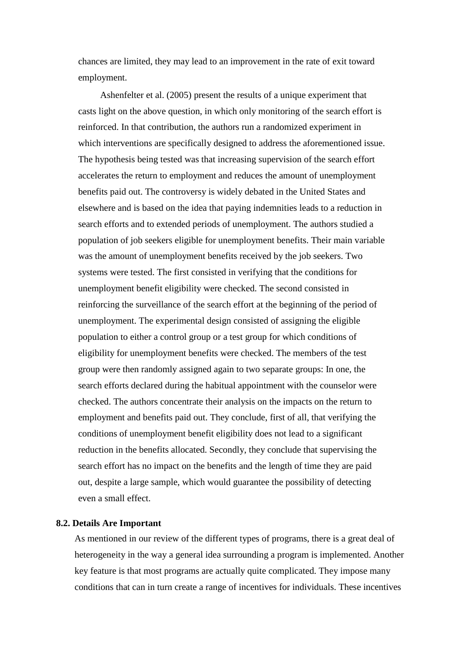chances are limited, they may lead to an improvement in the rate of exit toward employment.

[Ashenfelter et al. \(2005\)](#page-35-7) present the results of a unique experiment that casts light on the above question, in which only monitoring of the search effort is reinforced. In that contribution, the authors run a randomized experiment in which interventions are specifically designed to address the aforementioned issue. The hypothesis being tested was that increasing supervision of the search effort accelerates the return to employment and reduces the amount of unemployment benefits paid out. The controversy is widely debated in the United States and elsewhere and is based on the idea that paying indemnities leads to a reduction in search efforts and to extended periods of unemployment. The authors studied a population of job seekers eligible for unemployment benefits. Their main variable was the amount of unemployment benefits received by the job seekers. Two systems were tested. The first consisted in verifying that the conditions for unemployment benefit eligibility were checked. The second consisted in reinforcing the surveillance of the search effort at the beginning of the period of unemployment. The experimental design consisted of assigning the eligible population to either a control group or a test group for which conditions of eligibility for unemployment benefits were checked. The members of the test group were then randomly assigned again to two separate groups: In one, the search efforts declared during the habitual appointment with the counselor were checked. The authors concentrate their analysis on the impacts on the return to employment and benefits paid out. They conclude, first of all, that verifying the conditions of unemployment benefit eligibility does not lead to a significant reduction in the benefits allocated. Secondly, they conclude that supervising the search effort has no impact on the benefits and the length of time they are paid out, despite a large sample, which would guarantee the possibility of detecting even a small effect.

#### **8.2. Details Are Important**

As mentioned in our review of the different types of programs, there is a great deal of heterogeneity in the way a general idea surrounding a program is implemented. Another key feature is that most programs are actually quite complicated. They impose many conditions that can in turn create a range of incentives for individuals. These incentives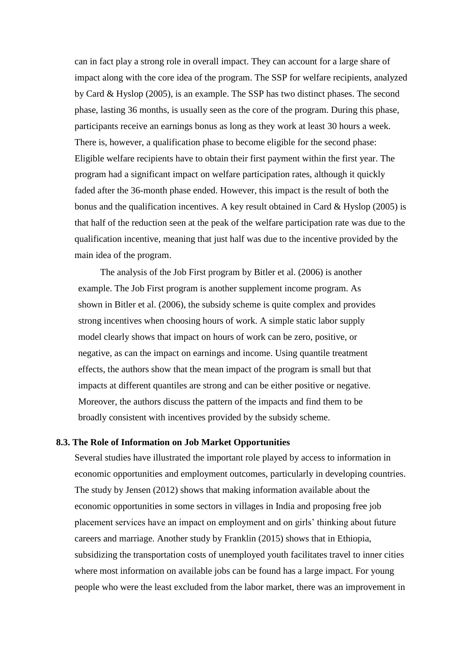can in fact play a strong role in overall impact. They can account for a large share of impact along with the core idea of the program. The SSP for welfare recipients, analyzed by [Card & Hyslop \(2005\),](#page-37-7) is an example. The SSP has two distinct phases. The second phase, lasting 36 months, is usually seen as the core of the program. During this phase, participants receive an earnings bonus as long as they work at least 30 hours a week. There is, however, a qualification phase to become eligible for the second phase: Eligible welfare recipients have to obtain their first payment within the first year. The program had a significant impact on welfare participation rates, although it quickly faded after the 36-month phase ended. However, this impact is the result of both the bonus and the qualification incentives. A key result obtained in Card  $&$  Hyslop (2005) is that half of the reduction seen at the peak of the welfare participation rate was due to the qualification incentive, meaning that just half was due to the incentive provided by the main idea of the program.

The analysis of the Job First program by [Bitler et al. \(2006\)](#page-36-9) is another example. The Job First program is another supplement income program. As shown in [Bitler et al. \(2006\),](#page-36-9) the subsidy scheme is quite complex and provides strong incentives when choosing hours of work. A simple static labor supply model clearly shows that impact on hours of work can be zero, positive, or negative, as can the impact on earnings and income. Using quantile treatment effects, the authors show that the mean impact of the program is small but that impacts at different quantiles are strong and can be either positive or negative. Moreover, the authors discuss the pattern of the impacts and find them to be broadly consistent with incentives provided by the subsidy scheme.

#### **8.3. The Role of Information on Job Market Opportunities**

Several studies have illustrated the important role played by access to information in economic opportunities and employment outcomes, particularly in developing countries. The study by [Jensen \(2012\)](#page-40-6) shows that making information available about the economic opportunities in some sectors in villages in India and proposing free job placement services have an impact on employment and on girls' thinking about future careers and marriage. Another study by [Franklin \(2015\)](#page-39-4) shows that in Ethiopia, subsidizing the transportation costs of unemployed youth facilitates travel to inner cities where most information on available jobs can be found has a large impact. For young people who were the least excluded from the labor market, there was an improvement in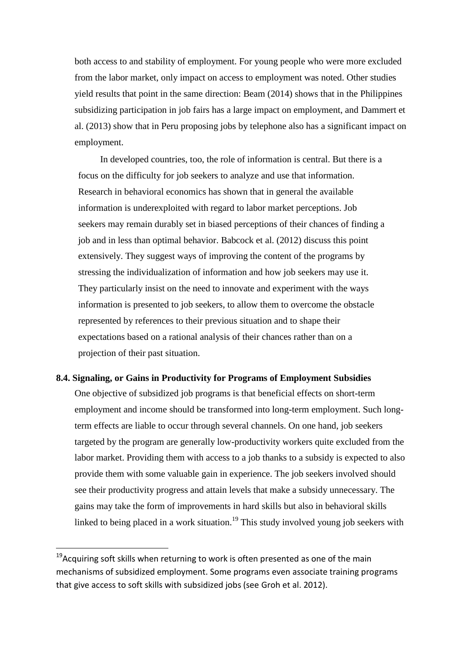both access to and stability of employment. For young people who were more excluded from the labor market, only impact on access to employment was noted. Other studies yield results that point in the same direction: [Beam \(2014\)](#page-35-8) shows that in the Philippines subsidizing participation in job fairs has a large impact on employment, and [Dammert et](#page-38-2)  [al. \(2013\)](#page-38-2) show that in Peru proposing jobs by telephone also has a significant impact on employment.

In developed countries, too, the role of information is central. But there is a focus on the difficulty for job seekers to analyze and use that information. Research in behavioral economics has shown that in general the available information is underexploited with regard to labor market perceptions. Job seekers may remain durably set in biased perceptions of their chances of finding a job and in less than optimal behavior. [Babcock et al. \(2012\)](#page-35-9) discuss this point extensively. They suggest ways of improving the content of the programs by stressing the individualization of information and how job seekers may use it. They particularly insist on the need to innovate and experiment with the ways information is presented to job seekers, to allow them to overcome the obstacle represented by references to their previous situation and to shape their expectations based on a rational analysis of their chances rather than on a projection of their past situation.

#### **8.4. Signaling, or Gains in Productivity for Programs of Employment Subsidies**

One objective of subsidized job programs is that beneficial effects on short-term employment and income should be transformed into long-term employment. Such longterm effects are liable to occur through several channels. On one hand, job seekers targeted by the program are generally low-productivity workers quite excluded from the labor market. Providing them with access to a job thanks to a subsidy is expected to also provide them with some valuable gain in experience. The job seekers involved should see their productivity progress and attain levels that make a subsidy unnecessary. The gains may take the form of improvements in hard skills but also in behavioral skills linked to being placed in a work situation.<sup>19</sup> This study involved young job seekers with

<u>.</u>

<sup>&</sup>lt;sup>19</sup> Acquiring soft skills when returning to work is often presented as one of the main mechanisms of subsidized employment. Some programs even associate training programs that give access to soft skills with subsidized jobs (see [Groh et al. 2012\).](#page-39-9)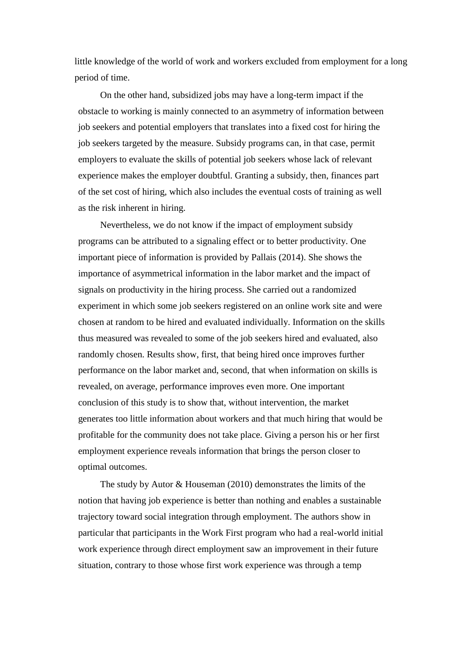little knowledge of the world of work and workers excluded from employment for a long period of time.

On the other hand, subsidized jobs may have a long-term impact if the obstacle to working is mainly connected to an asymmetry of information between job seekers and potential employers that translates into a fixed cost for hiring the job seekers targeted by the measure. Subsidy programs can, in that case, permit employers to evaluate the skills of potential job seekers whose lack of relevant experience makes the employer doubtful. Granting a subsidy, then, finances part of the set cost of hiring, which also includes the eventual costs of training as well as the risk inherent in hiring.

Nevertheless, we do not know if the impact of employment subsidy programs can be attributed to a signaling effect or to better productivity. One important piece of information is provided by [Pallais \(2014\).](#page-41-11) She shows the importance of asymmetrical information in the labor market and the impact of signals on productivity in the hiring process. She carried out a randomized experiment in which some job seekers registered on an online work site and were chosen at random to be hired and evaluated individually. Information on the skills thus measured was revealed to some of the job seekers hired and evaluated, also randomly chosen. Results show, first, that being hired once improves further performance on the labor market and, second, that when information on skills is revealed, on average, performance improves even more. One important conclusion of this study is to show that, without intervention, the market generates too little information about workers and that much hiring that would be profitable for the community does not take place. Giving a person his or her first employment experience reveals information that brings the person closer to optimal outcomes.

The study by [Autor & Houseman \(2010\)](#page-35-10) demonstrates the limits of the notion that having job experience is better than nothing and enables a sustainable trajectory toward social integration through employment. The authors show in particular that participants in the Work First program who had a real-world initial work experience through direct employment saw an improvement in their future situation, contrary to those whose first work experience was through a temp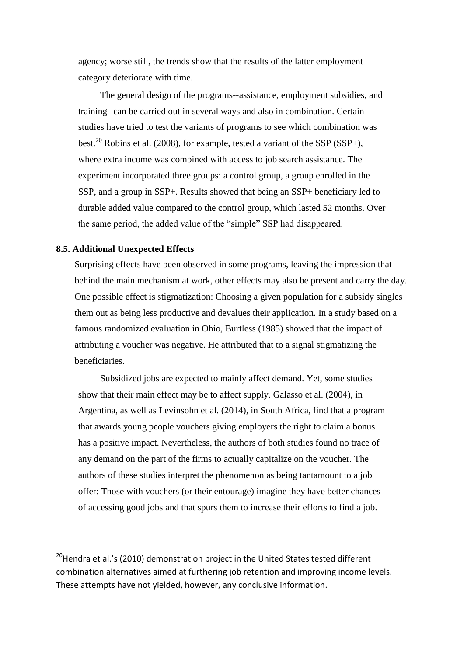agency; worse still, the trends show that the results of the latter employment category deteriorate with time.

The general design of the programs--assistance, employment subsidies, and training--can be carried out in several ways and also in combination. Certain studies have tried to test the variants of programs to see which combination was best.<sup>20</sup> [Robins et al. \(2008\),](#page-41-12) for example, tested a variant of the SSP (SSP+), where extra income was combined with access to job search assistance. The experiment incorporated three groups: a control group, a group enrolled in the SSP, and a group in SSP+. Results showed that being an SSP+ beneficiary led to durable added value compared to the control group, which lasted 52 months. Over the same period, the added value of the "simple" SSP had disappeared.

#### **8.5. Additional Unexpected Effects**

<u>.</u>

Surprising effects have been observed in some programs, leaving the impression that behind the main mechanism at work, other effects may also be present and carry the day. One possible effect is stigmatization: Choosing a given population for a subsidy singles them out as being less productive and devalues their application. In a study based on a famous randomized evaluation in Ohio, [Burtless \(1985\)](#page-36-11) showed that the impact of attributing a voucher was negative. He attributed that to a signal stigmatizing the beneficiaries.

Subsidized jobs are expected to mainly affect demand. Yet, some studies show that their main effect may be to affect supply. [Galasso et al. \(2004\),](#page-39-2) in Argentina, as well as [Levinsohn et al. \(2014\),](#page-40-3) in South Africa, find that a program that awards young people vouchers giving employers the right to claim a bonus has a positive impact. Nevertheless, the authors of both studies found no trace of any demand on the part of the firms to actually capitalize on the voucher. The authors of these studies interpret the phenomenon as being tantamount to a job offer: Those with vouchers (or their entourage) imagine they have better chances of accessing good jobs and that spurs them to increase their efforts to find a job.

<sup>&</sup>lt;sup>20</sup>[Hendra et al.'s \(2010\)](#page-39-0) demonstration project in the United States tested different combination alternatives aimed at furthering job retention and improving income levels. These attempts have not yielded, however, any conclusive information.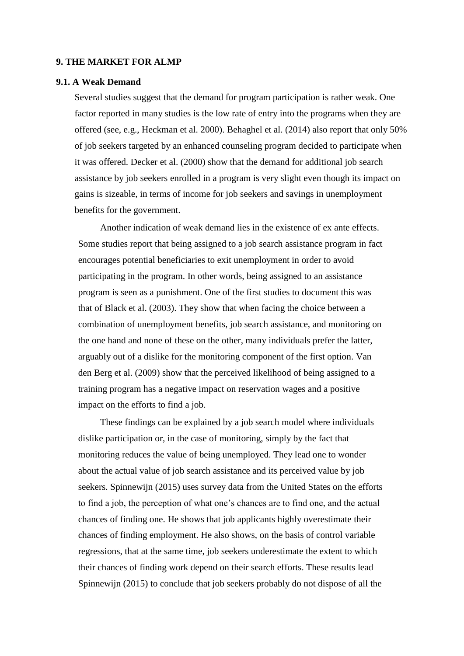#### **9. THE MARKET FOR ALMP**

#### **9.1. A Weak Demand**

Several studies suggest that the demand for program participation is rather weak. One factor reported in many studies is the low rate of entry into the programs when they are offered (see, e.g., [Heckman et al. 2000\)](#page-39-0). [Behaghel et al. \(2014\)](#page-35-1) also report that only 50% of job seekers targeted by an enhanced counseling program decided to participate when it was offered. [Decker et al. \(2000\)](#page-38-10) show that the demand for additional job search assistance by job seekers enrolled in a program is very slight even though its impact on gains is sizeable, in terms of income for job seekers and savings in unemployment benefits for the government.

Another indication of weak demand lies in the existence of ex ante effects. Some studies report that being assigned to a job search assistance program in fact encourages potential beneficiaries to exit unemployment in order to avoid participating in the program. In other words, being assigned to an assistance program is seen as a punishment. One of the first studies to document this was that of [Black et al. \(2003\).](#page-36-12) They show that when facing the choice between a combination of unemployment benefits, job search assistance, and monitoring on the one hand and none of these on the other, many individuals prefer the latter, arguably out of a dislike for the monitoring component of the first option. [Van](#page-42-0)  [den Berg et al. \(2009\)](#page-42-0) show that the perceived likelihood of being assigned to a training program has a negative impact on reservation wages and a positive impact on the efforts to find a job.

These findings can be explained by a job search model where individuals dislike participation or, in the case of monitoring, simply by the fact that monitoring reduces the value of being unemployed. They lead one to wonder about the actual value of job search assistance and its perceived value by job seekers. [Spinnewijn \(2015\)](#page-42-3) uses survey data from the United States on the efforts to find a job, the perception of what one's chances are to find one, and the actual chances of finding one. He shows that job applicants highly overestimate their chances of finding employment. He also shows, on the basis of control variable regressions, that at the same time, job seekers underestimate the extent to which their chances of finding work depend on their search efforts. These results lead [Spinnewijn \(2015\)](#page-42-3) to conclude that job seekers probably do not dispose of all the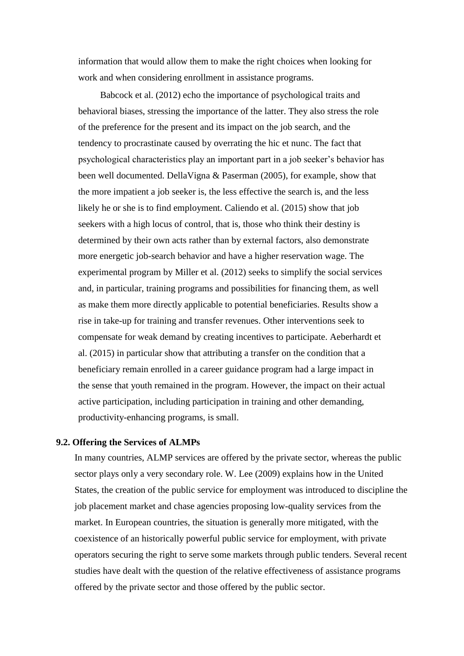information that would allow them to make the right choices when looking for work and when considering enrollment in assistance programs.

[Babcock et al. \(2012\)](#page-35-9) echo the importance of psychological traits and behavioral biases, stressing the importance of the latter. They also stress the role of the preference for the present and its impact on the job search, and the tendency to procrastinate caused by overrating the hic et nunc. The fact that psychological characteristics play an important part in a job seeker's behavior has been well documented. [DellaVigna & Paserman \(2005\),](#page-38-11) for example, show that the more impatient a job seeker is, the less effective the search is, and the less likely he or she is to find employment. [Caliendo et al. \(2015\)](#page-37-10) show that job seekers with a high locus of control, that is, those who think their destiny is determined by their own acts rather than by external factors, also demonstrate more energetic job-search behavior and have a higher reservation wage. The experimental program by [Miller et al. \(2012\)](#page-41-13) seeks to simplify the social services and, in particular, training programs and possibilities for financing them, as well as make them more directly applicable to potential beneficiaries. Results show a rise in take-up for training and transfer revenues. Other interventions seek to compensate for weak demand by creating incentives to participate. [Aeberhardt et](#page-35-3)  [al. \(2015\)](#page-35-3) in particular show that attributing a transfer on the condition that a beneficiary remain enrolled in a career guidance program had a large impact in the sense that youth remained in the program. However, the impact on their actual active participation, including participation in training and other demanding, productivity-enhancing programs, is small.

#### **9.2. Offering the Services of ALMPs**

In many countries, ALMP services are offered by the private sector, whereas the public sector plays only a very secondary role. W. [Lee \(2009\)](#page-40-7) explains how in the United States, the creation of the public service for employment was introduced to discipline the job placement market and chase agencies proposing low-quality services from the market. In European countries, the situation is generally more mitigated, with the coexistence of an historically powerful public service for employment, with private operators securing the right to serve some markets through public tenders. Several recent studies have dealt with the question of the relative effectiveness of assistance programs offered by the private sector and those offered by the public sector.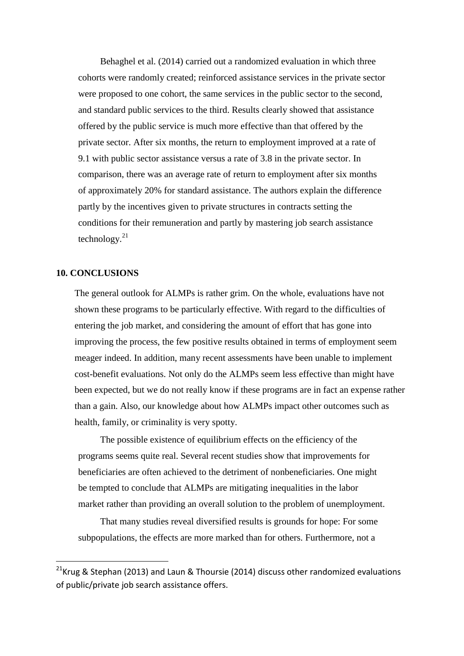[Behaghel et al. \(2014\)](#page-35-1) carried out a randomized evaluation in which three cohorts were randomly created; reinforced assistance services in the private sector were proposed to one cohort, the same services in the public sector to the second, and standard public services to the third. Results clearly showed that assistance offered by the public service is much more effective than that offered by the private sector. After six months, the return to employment improved at a rate of 9.1 with public sector assistance versus a rate of 3.8 in the private sector. In comparison, there was an average rate of return to employment after six months of approximately 20% for standard assistance. The authors explain the difference partly by the incentives given to private structures in contracts setting the conditions for their remuneration and partly by mastering job search assistance technology. $^{21}$ 

#### **10. CONCLUSIONS**

1

The general outlook for ALMPs is rather grim. On the whole, evaluations have not shown these programs to be particularly effective. With regard to the difficulties of entering the job market, and considering the amount of effort that has gone into improving the process, the few positive results obtained in terms of employment seem meager indeed. In addition, many recent assessments have been unable to implement cost-benefit evaluations. Not only do the ALMPs seem less effective than might have been expected, but we do not really know if these programs are in fact an expense rather than a gain. Also, our knowledge about how ALMPs impact other outcomes such as health, family, or criminality is very spotty.

The possible existence of equilibrium effects on the efficiency of the programs seems quite real. Several recent studies show that improvements for beneficiaries are often achieved to the detriment of nonbeneficiaries. One might be tempted to conclude that ALMPs are mitigating inequalities in the labor market rather than providing an overall solution to the problem of unemployment.

That many studies reveal diversified results is grounds for hope: For some subpopulations, the effects are more marked than for others. Furthermore, not a

 $^{21}$ [Krug & Stephan \(2013\)](#page-40-8) and [Laun & Thoursie \(2014\)](#page-40-9) discuss other randomized evaluations of public/private job search assistance offers.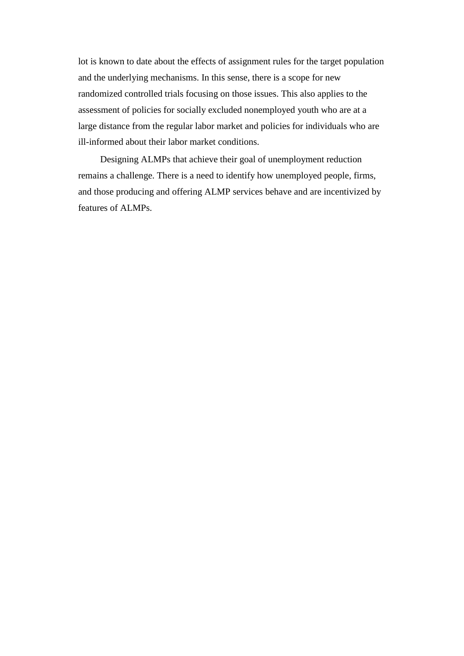lot is known to date about the effects of assignment rules for the target population and the underlying mechanisms. In this sense, there is a scope for new randomized controlled trials focusing on those issues. This also applies to the assessment of policies for socially excluded nonemployed youth who are at a large distance from the regular labor market and policies for individuals who are ill-informed about their labor market conditions.

Designing ALMPs that achieve their goal of unemployment reduction remains a challenge. There is a need to identify how unemployed people, firms, and those producing and offering ALMP services behave and are incentivized by features of ALMPs.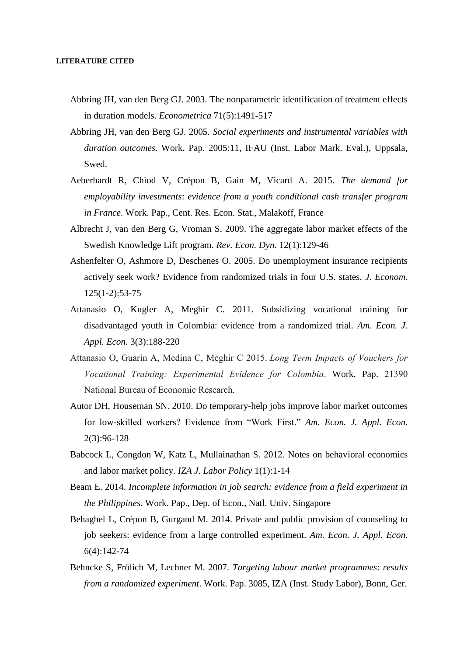- <span id="page-35-0"></span>Abbring JH, van den Berg GJ. 2003. The nonparametric identification of treatment effects in duration models. *Econometrica* 71(5):1491-517
- <span id="page-35-2"></span>Abbring JH, van den Berg GJ. 2005. *Social experiments and instrumental variables with duration outcomes*. Work. Pap. 2005:11, IFAU (Inst. Labor Mark. Eval.), Uppsala, Swed.
- <span id="page-35-3"></span>Aeberhardt R, Chiod V, Crépon B, Gain M, Vicard A. 2015. *The demand for employability investments*: *evidence from a youth conditional cash transfer program in France*. Work. Pap., Cent. Res. Econ. Stat., Malakoff, France
- <span id="page-35-6"></span>Albrecht J, van den Berg G, Vroman S. 2009. The aggregate labor market effects of the Swedish Knowledge Lift program. *Rev. Econ. Dyn.* 12(1):129-46
- <span id="page-35-7"></span>Ashenfelter O, Ashmore D, Deschenes O. 2005. Do unemployment insurance recipients actively seek work? Evidence from randomized trials in four U.S. states. *J. Econom.* 125(1-2):53-75
- <span id="page-35-4"></span>Attanasio O, Kugler A, Meghir C. 2011. Subsidizing vocational training for disadvantaged youth in Colombia: evidence from a randomized trial. *Am. Econ. J. Appl. Econ.* 3(3):188-220
- Attanasio O, Guarín A, Medina C, Meghir C 2015. *Long Term Impacts of Vouchers for Vocational Training: Experimental Evidence for Colombia*. Work. Pap. 21390 National Bureau of Economic Research.
- <span id="page-35-10"></span>Autor DH, Houseman SN. 2010. Do temporary-help jobs improve labor market outcomes for low-skilled workers? Evidence from "Work First." *Am. Econ. J. Appl. Econ.* 2(3):96-128
- <span id="page-35-9"></span>Babcock L, Congdon W, Katz L, Mullainathan S. 2012. Notes on behavioral economics and labor market policy. *IZA J. Labor Policy* 1(1):1-14
- <span id="page-35-8"></span>Beam E. 2014. *Incomplete information in job search: evidence from a field experiment in the Philippines*. Work. Pap., Dep. of Econ., Natl. Univ. Singapore
- <span id="page-35-1"></span>Behaghel L, Crépon B, Gurgand M. 2014. Private and public provision of counseling to job seekers: evidence from a large controlled experiment. *Am. Econ. J. Appl. Econ.* 6(4):142-74
- <span id="page-35-5"></span>Behncke S, Frölich M, Lechner M. 2007. *Targeting labour market programmes*: *results from a randomized experiment*. Work. Pap. 3085, IZA (Inst. Study Labor), Bonn, Ger.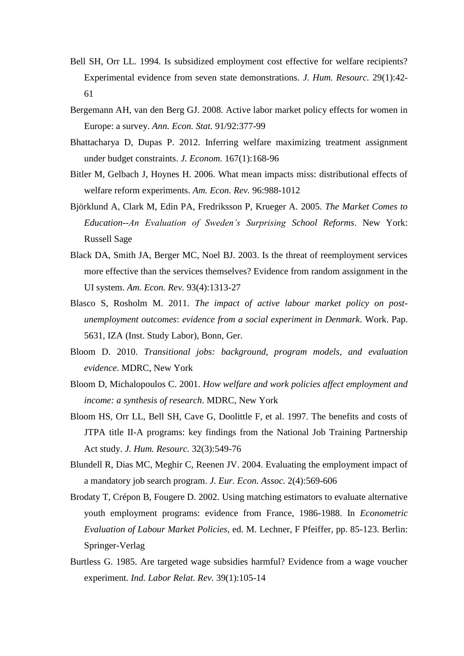- <span id="page-36-6"></span>Bell SH, Orr LL. 1994. Is subsidized employment cost effective for welfare recipients? Experimental evidence from seven state demonstrations. *J. Hum. Resourc.* 29(1):42- 61
- <span id="page-36-0"></span>Bergemann AH, van den Berg GJ. 2008. Active labor market policy effects for women in Europe: a survey. *Ann. Econ. Stat.* 91/92:377-99
- <span id="page-36-10"></span>Bhattacharya D, Dupas P. 2012. Inferring welfare maximizing treatment assignment under budget constraints. *J. Econom.* 167(1):168-96
- <span id="page-36-9"></span>Bitler M, Gelbach J, Hoynes H. 2006. What mean impacts miss: distributional effects of welfare reform experiments. *Am. Econ. Rev.* 96:988-1012
- <span id="page-36-8"></span>Björklund A, Clark M, Edin PA, Fredriksson P, Krueger A. 2005. *The Market Comes to Education--An Evaluation of Sweden's Surprising School Reforms*. New York: Russell Sage
- <span id="page-36-12"></span>Black DA, Smith JA, Berger MC, Noel BJ. 2003. Is the threat of reemployment services more effective than the services themselves? Evidence from random assignment in the UI system. *Am. Econ. Rev.* 93(4):1313-27
- <span id="page-36-2"></span>Blasco S, Rosholm M. 2011. *The impact of active labour market policy on postunemployment outcomes*: *evidence from a social experiment in Denmark*. Work. Pap. 5631, IZA (Inst. Study Labor), Bonn, Ger.
- <span id="page-36-4"></span>Bloom D. 2010. *Transitional jobs: background, program models, and evaluation evidence*. MDRC, New York
- <span id="page-36-7"></span>Bloom D, Michalopoulos C. 2001. *How welfare and work policies affect employment and income: a synthesis of research*. MDRC, New York
- <span id="page-36-5"></span>Bloom HS, Orr LL, Bell SH, Cave G, Doolittle F, et al. 1997. The benefits and costs of JTPA title II-A programs: key findings from the National Job Training Partnership Act study. *J. Hum. Resourc.* 32(3):549-76
- <span id="page-36-1"></span>Blundell R, Dias MC, Meghir C, Reenen JV. 2004. Evaluating the employment impact of a mandatory job search program. *J. Eur. Econ. Assoc.* 2(4):569-606
- <span id="page-36-3"></span>Brodaty T, Crépon B, Fougere D. 2002. Using matching estimators to evaluate alternative youth employment programs: evidence from France, 1986-1988. In *Econometric Evaluation of Labour Market Policies*, ed. M. Lechner, F Pfeiffer, pp. 85-123. Berlin: Springer-Verlag
- <span id="page-36-11"></span>Burtless G. 1985. Are targeted wage subsidies harmful? Evidence from a wage voucher experiment. *Ind. Labor Relat. Rev.* 39(1):105-14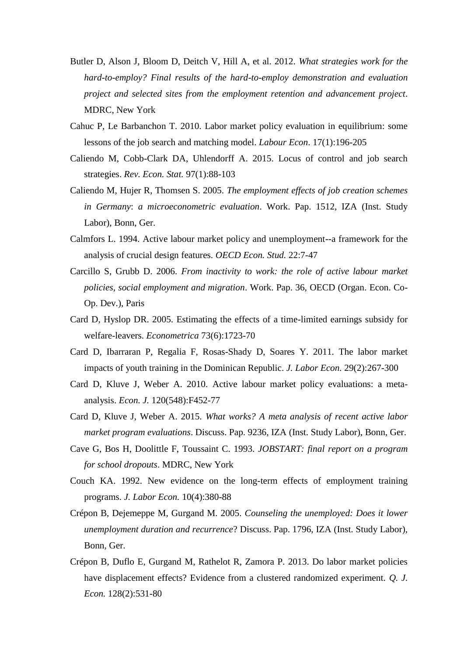- <span id="page-37-3"></span>Butler D, Alson J, Bloom D, Deitch V, Hill A, et al. 2012. *What strategies work for the hard-to-employ? Final results of the hard-to-employ demonstration and evaluation project and selected sites from the employment retention and advancement project*. MDRC, New York
- <span id="page-37-9"></span>Cahuc P, Le Barbanchon T. 2010. Labor market policy evaluation in equilibrium: some lessons of the job search and matching model. *Labour Econ*. 17(1):196-205
- <span id="page-37-4"></span>Caliendo M, Cobb-Clark DA, Uhlendorff A. 2015. Locus of control and job search strategies. *Rev. Econ. Stat.* 97(1):88-103
- Caliendo M, Hujer R, Thomsen S. 2005. *The employment effects of job creation schemes in Germany*: *a microeconometric evaluation*. Work. Pap. 1512, IZA (Inst. Study Labor), Bonn, Ger.
- <span id="page-37-10"></span>Calmfors L. 1994. Active labour market policy and unemployment--a framework for the analysis of crucial design features. *OECD Econ. Stud.* 22:7-47
- <span id="page-37-0"></span>Carcillo S, Grubb D. 2006. *From inactivity to work: the role of active labour market policies, social employment and migration*. Work. Pap. 36, OECD (Organ. Econ. Co-Op. Dev.), Paris
- <span id="page-37-7"></span>Card D, Hyslop DR. 2005. Estimating the effects of a time-limited earnings subsidy for welfare-leavers. *Econometrica* 73(6):1723-70
- <span id="page-37-1"></span>Card D, Ibarraran P, Regalia F, Rosas-Shady D, Soares Y. 2011. The labor market impacts of youth training in the Dominican Republic. *J. Labor Econ.* 29(2):267-300
- <span id="page-37-2"></span>Card D, Kluve J, Weber A. 2010. Active labour market policy evaluations: a metaanalysis. *Econ. J.* 120(548):F452-77
- Card D, Kluve J, Weber A. 2015. *What works? A meta analysis of recent active labor market program evaluations*. Discuss. Pap. 9236, IZA (Inst. Study Labor), Bonn, Ger.
- <span id="page-37-8"></span>Cave G, Bos H, Doolittle F, Toussaint C. 1993. *JOBSTART: final report on a program for school dropouts*. MDRC, New York
- <span id="page-37-6"></span>Couch KA. 1992. New evidence on the long-term effects of employment training programs. *J. Labor Econ.* 10(4):380-88
- <span id="page-37-5"></span>Crépon B, Dejemeppe M, Gurgand M. 2005. *Counseling the unemployed: Does it lower unemployment duration and recurrence*? Discuss. Pap. 1796, IZA (Inst. Study Labor), Bonn, Ger.
- Crépon B, Duflo E, Gurgand M, Rathelot R, Zamora P. 2013. Do labor market policies have displacement effects? Evidence from a clustered randomized experiment. *Q. J. Econ.* 128(2):531-80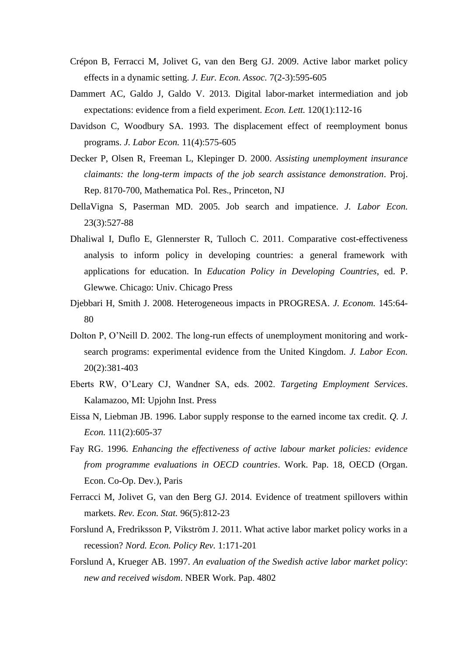- Crépon B, Ferracci M, Jolivet G, van den Berg GJ. 2009. Active labor market policy effects in a dynamic setting. *J. Eur. Econ. Assoc.* 7(2-3):595-605
- <span id="page-38-2"></span>Dammert AC, Galdo J, Galdo V. 2013. Digital labor-market intermediation and job expectations: evidence from a field experiment. *Econ. Lett.* 120(1):112-16
- <span id="page-38-7"></span>Davidson C, Woodbury SA. 1993. The displacement effect of reemployment bonus programs. *J. Labor Econ.* 11(4):575-605
- <span id="page-38-10"></span>Decker P, Olsen R, Freeman L, Klepinger D. 2000. *Assisting unemployment insurance claimants: the long-term impacts of the job search assistance demonstration*. Proj. Rep. 8170-700, Mathematica Pol. Res., Princeton, NJ
- <span id="page-38-11"></span>DellaVigna S, Paserman MD. 2005. Job search and impatience. *J. Labor Econ.* 23(3):527-88
- <span id="page-38-4"></span>Dhaliwal I, Duflo E, Glennerster R, Tulloch C. 2011. Comparative cost-effectiveness analysis to inform policy in developing countries: a general framework with applications for education. In *Education Policy in Developing Countries*, ed. P. Glewwe. Chicago: Univ. Chicago Press
- <span id="page-38-5"></span>Djebbari H, Smith J. 2008. Heterogeneous impacts in PROGRESA. *J. Econom.* 145:64- 80
- <span id="page-38-1"></span>Dolton P, O'Neill D. 2002. The long-run effects of unemployment monitoring and worksearch programs: experimental evidence from the United Kingdom. *J. Labor Econ.* 20(2):381-403
- <span id="page-38-6"></span>Eberts RW, O'Leary CJ, Wandner SA, eds. 2002. *Targeting Employment Services*. Kalamazoo, MI: Upjohn Inst. Press
- <span id="page-38-3"></span>Eissa N, Liebman JB. 1996. Labor supply response to the earned income tax credit. *Q. J. Econ.* 111(2):605-37
- <span id="page-38-0"></span>Fay RG. 1996. *Enhancing the effectiveness of active labour market policies: evidence from programme evaluations in OECD countries*. Work. Pap. 18, OECD (Organ. Econ. Co-Op. Dev.), Paris
- <span id="page-38-9"></span>Ferracci M, Jolivet G, van den Berg GJ. 2014. Evidence of treatment spillovers within markets. *Rev. Econ. Stat.* 96(5):812-23
- <span id="page-38-8"></span>Forslund A, Fredriksson P, Vikström J. 2011. What active labor market policy works in a recession? *Nord. Econ. Policy Rev.* 1:171-201
- Forslund A, Krueger AB. 1997. *An evaluation of the Swedish active labor market policy*: *new and received wisdom*. NBER Work. Pap. 4802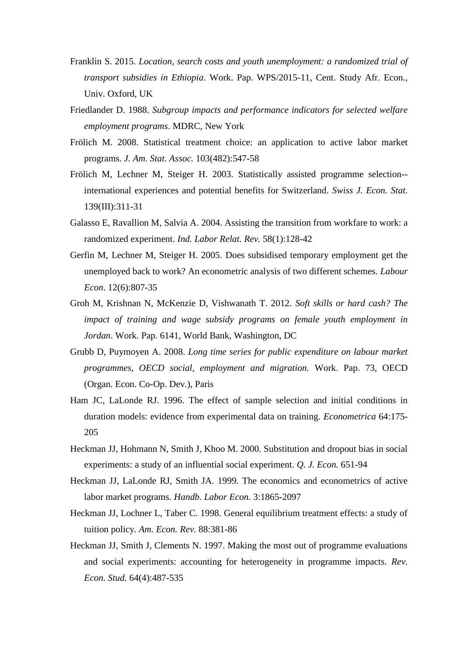- <span id="page-39-4"></span>Franklin S. 2015. *Location, search costs and youth unemployment: a randomized trial of transport subsidies in Ethiopia*. Work. Pap. WPS/2015-11, Cent. Study Afr. Econ., Univ. Oxford, UK
- <span id="page-39-5"></span>Friedlander D. 1988. *Subgroup impacts and performance indicators for selected welfare employment programs*. MDRC, New York
- <span id="page-39-6"></span>Frölich M. 2008. Statistical treatment choice: an application to active labor market programs. *J. Am. Stat. Assoc.* 103(482):547-58
- <span id="page-39-7"></span>Frölich M, Lechner M, Steiger H. 2003. Statistically assisted programme selection- international experiences and potential benefits for Switzerland. *Swiss J. Econ. Stat.*  139(III):311-31
- <span id="page-39-2"></span>Galasso E, Ravallion M, Salvia A. 2004. Assisting the transition from workfare to work: a randomized experiment. *Ind. Labor Relat. Rev.* 58(1):128-42
- <span id="page-39-3"></span>Gerfin M, Lechner M, Steiger H. 2005. Does subsidised temporary employment get the unemployed back to work? An econometric analysis of two different schemes. *Labour Econ*. 12(6):807-35
- <span id="page-39-9"></span>Groh M, Krishnan N, McKenzie D, Vishwanath T. 2012. *Soft skills or hard cash? The impact of training and wage subsidy programs on female youth employment in Jordan*. Work. Pap. 6141, World Bank, Washington, DC
- Grubb D, Puymoyen A. 2008. *Long time series for public expenditure on labour market programmes, OECD social, employment and migration.* Work. Pap. 73, OECD (Organ. Econ. Co-Op. Dev.), Paris
- <span id="page-39-1"></span>Ham JC, LaLonde RJ. 1996. The effect of sample selection and initial conditions in duration models: evidence from experimental data on training. *Econometrica* 64:175- 205
- <span id="page-39-8"></span>Heckman JJ, Hohmann N, Smith J, Khoo M. 2000. Substitution and dropout bias in social experiments: a study of an influential social experiment. *Q. J. Econ.* 651-94
- Heckman JJ, LaLonde RJ, Smith JA. 1999. The economics and econometrics of active labor market programs. *Handb. Labor Econ.* 3:1865-2097
- Heckman JJ, Lochner L, Taber C. 1998. General equilibrium treatment effects: a study of tuition policy. *Am. Econ. Rev.* 88:381-86
- <span id="page-39-0"></span>Heckman JJ, Smith J, Clements N. 1997. Making the most out of programme evaluations and social experiments: accounting for heterogeneity in programme impacts. *Rev. Econ. Stud.* 64(4):487-535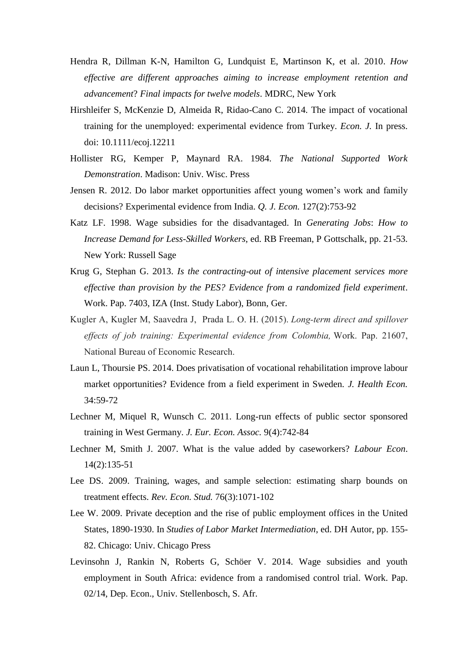- Hendra R, Dillman K-N, Hamilton G, Lundquist E, Martinson K, et al. 2010. *How effective are different approaches aiming to increase employment retention and advancement*? *Final impacts for twelve models*. MDRC, New York
- <span id="page-40-5"></span>Hirshleifer S, McKenzie D, Almeida R, Ridao-Cano C. 2014. The impact of vocational training for the unemployed: experimental evidence from Turkey. *Econ. J.* In press. doi: 10.1111/ecoj.12211
- <span id="page-40-2"></span>Hollister RG, Kemper P, Maynard RA. 1984. *The National Supported Work Demonstration*. Madison: Univ. Wisc. Press
- <span id="page-40-6"></span>Jensen R. 2012. Do labor market opportunities affect young women's work and family decisions? Experimental evidence from India. *Q. J. Econ.* 127(2):753-92
- <span id="page-40-1"></span>Katz LF. 1998. Wage subsidies for the disadvantaged. In *Generating Jobs*: *How to Increase Demand for Less-Skilled Workers*, ed. RB Freeman, P Gottschalk, pp. 21-53. New York: Russell Sage
- <span id="page-40-8"></span>Krug G, Stephan G. 2013. *Is the contracting-out of intensive placement services more effective than provision by the PES? Evidence from a randomized field experiment*. Work. Pap. 7403, IZA (Inst. Study Labor), Bonn, Ger.
- Kugler A, Kugler M, Saavedra J, Prada L. O. H. (2015). *Long-term direct and spillover effects of job training: Experimental evidence from Colombia,* Work. Pap. 21607, National Bureau of Economic Research.
- <span id="page-40-9"></span>Laun L, Thoursie PS. 2014. Does privatisation of vocational rehabilitation improve labour market opportunities? Evidence from a field experiment in Sweden. *J. Health Econ.* 34:59-72
- <span id="page-40-4"></span>Lechner M, Miquel R, Wunsch C. 2011. Long-run effects of public sector sponsored training in West Germany. *J. Eur. Econ. Assoc.* 9(4):742-84
- <span id="page-40-0"></span>Lechner M, Smith J. 2007. What is the value added by caseworkers? *Labour Econ*. 14(2):135-51
- Lee DS. 2009. Training, wages, and sample selection: estimating sharp bounds on treatment effects. *Rev. Econ. Stud.* 76(3):1071-102
- <span id="page-40-7"></span>Lee W. 2009. Private deception and the rise of public employment offices in the United States, 1890-1930. In *Studies of Labor Market Intermediation*, ed. DH Autor, pp. 155- 82. Chicago: Univ. Chicago Press
- <span id="page-40-3"></span>Levinsohn J, Rankin N, Roberts G, Schöer V. 2014. Wage subsidies and youth employment in South Africa: evidence from a randomised control trial. Work. Pap. 02/14, Dep. Econ., Univ. Stellenbosch, S. Afr.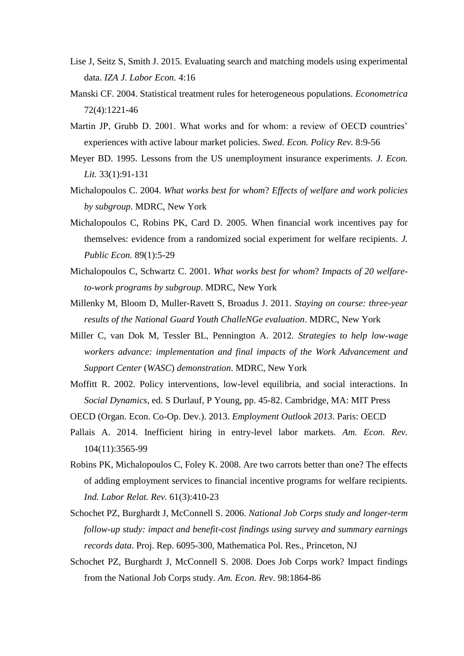- <span id="page-41-9"></span>Lise J, Seitz S, Smith J. 2015. Evaluating search and matching models using experimental data. *IZA J. Labor Econ.* 4:16
- <span id="page-41-8"></span>Manski CF. 2004. Statistical treatment rules for heterogeneous populations. *Econometrica* 72(4):1221-46
- <span id="page-41-1"></span>Martin JP, Grubb D. 2001. What works and for whom: a review of OECD countries' experiences with active labour market policies. *Swed. Econ. Policy Rev.* 8:9-56
- <span id="page-41-2"></span>Meyer BD. 1995. Lessons from the US unemployment insurance experiments. *J. Econ. Lit.* 33(1):91-131
- <span id="page-41-7"></span>Michalopoulos C. 2004. *What works best for whom*? *Effects of welfare and work policies by subgroup*. MDRC, New York
- <span id="page-41-6"></span>Michalopoulos C, Robins PK, Card D. 2005. When financial work incentives pay for themselves: evidence from a randomized social experiment for welfare recipients. *J. Public Econ.* 89(1):5-29
- Michalopoulos C, Schwartz C. 2001. *What works best for whom*? *Impacts of 20 welfareto-work programs by subgroup.* MDRC, New York
- <span id="page-41-3"></span>Millenky M, Bloom D, Muller-Ravett S, Broadus J. 2011. *Staying on course: three-year results of the National Guard Youth ChalleNGe evaluation*. MDRC, New York
- <span id="page-41-13"></span>Miller C, van Dok M, Tessler BL, Pennington A. 2012. *Strategies to help low-wage workers advance: implementation and final impacts of the Work Advancement and Support Center* (*WASC*) *demonstration*. MDRC, New York
- <span id="page-41-10"></span>Moffitt R. 2002. Policy interventions, low-level equilibria, and social interactions. In *Social Dynamics*, ed. S Durlauf, P Young, pp. 45-82. Cambridge, MA: MIT Press
- <span id="page-41-0"></span>OECD (Organ. Econ. Co-Op. Dev.). 2013. *Employment Outlook 2013*. Paris: OECD
- <span id="page-41-11"></span>Pallais A. 2014. Inefficient hiring in entry-level labor markets. *Am. Econ. Rev.* 104(11):3565-99
- <span id="page-41-12"></span>Robins PK, Michalopoulos C, Foley K. 2008. Are two carrots better than one? The effects of adding employment services to financial incentive programs for welfare recipients. *Ind. Labor Relat. Rev.* 61(3):410-23
- <span id="page-41-5"></span>Schochet PZ, Burghardt J, McConnell S. 2006. *National Job Corps study and longer-term follow-up study: impact and benefit-cost findings using survey and summary earnings records data*. Proj. Rep. 6095-300, Mathematica Pol. Res., Princeton, NJ
- <span id="page-41-4"></span>Schochet PZ, Burghardt J, McConnell S. 2008. Does Job Corps work? Impact findings from the National Job Corps study. *Am. Econ. Rev.* 98:1864-86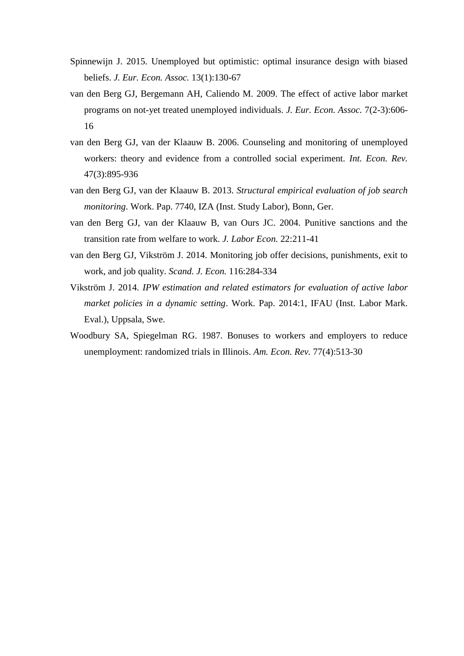- <span id="page-42-3"></span>Spinnewijn J. 2015. Unemployed but optimistic: optimal insurance design with biased beliefs. *J. Eur. Econ. Assoc.* 13(1):130-67
- <span id="page-42-1"></span>van den Berg GJ, Bergemann AH, Caliendo M. 2009. The effect of active labor market programs on not-yet treated unemployed individuals. *J. Eur. Econ. Assoc.* 7(2-3):606- 16
- van den Berg GJ, van der Klaauw B. 2006. Counseling and monitoring of unemployed workers: theory and evidence from a controlled social experiment. *Int. Econ. Rev.* 47(3):895-936
- van den Berg GJ, van der Klaauw B. 2013. *Structural empirical evaluation of job search monitoring*. Work. Pap. 7740, IZA (Inst. Study Labor), Bonn, Ger.
- van den Berg GJ, van der Klaauw B, van Ours JC. 2004. Punitive sanctions and the transition rate from welfare to work. *J. Labor Econ.* 22:211-41
- <span id="page-42-0"></span>van den Berg GJ, Vikström J. 2014. Monitoring job offer decisions, punishments, exit to work, and job quality. *Scand. J. Econ.* 116:284-334
- Vikström J. 2014. *IPW estimation and related estimators for evaluation of active labor market policies in a dynamic setting*. Work. Pap. 2014:1, IFAU (Inst. Labor Mark. Eval.), Uppsala, Swe.
- <span id="page-42-2"></span>Woodbury SA, Spiegelman RG. 1987. Bonuses to workers and employers to reduce unemployment: randomized trials in Illinois. *Am. Econ. Rev.* 77(4):513-30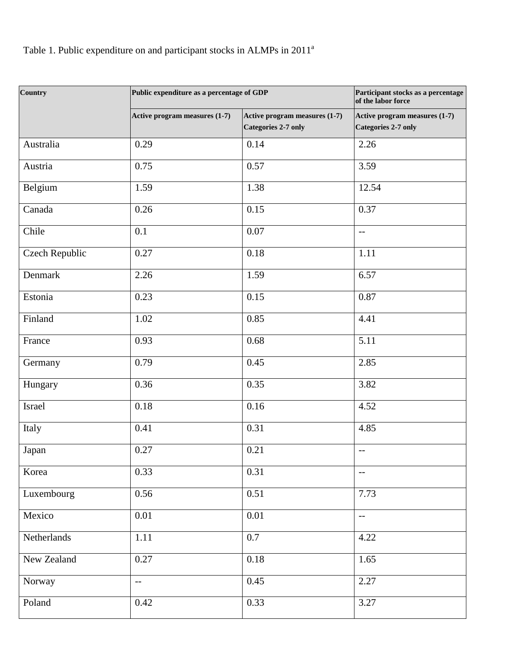| Country        | Public expenditure as a percentage of GDP |                               | Participant stocks as a percentage<br>of the labor force |
|----------------|-------------------------------------------|-------------------------------|----------------------------------------------------------|
|                | Active program measures (1-7)             | Active program measures (1-7) | Active program measures (1-7)                            |
|                |                                           | <b>Categories 2-7 only</b>    | <b>Categories 2-7 only</b>                               |
| Australia      | 0.29                                      | 0.14                          | 2.26                                                     |
| Austria        | 0.75                                      | 0.57                          | 3.59                                                     |
| Belgium        | 1.59                                      | 1.38                          | 12.54                                                    |
| Canada         | 0.26                                      | 0.15                          | 0.37                                                     |
| Chile          | 0.1                                       | 0.07                          | $-$                                                      |
| Czech Republic | 0.27                                      | 0.18                          | 1.11                                                     |
| Denmark        | 2.26                                      | 1.59                          | 6.57                                                     |
| Estonia        | 0.23                                      | 0.15                          | 0.87                                                     |
| Finland        | 1.02                                      | 0.85                          | 4.41                                                     |
| France         | 0.93                                      | 0.68                          | 5.11                                                     |
| Germany        | 0.79                                      | 0.45                          | 2.85                                                     |
| Hungary        | 0.36                                      | 0.35                          | 3.82                                                     |
| Israel         | 0.18                                      | 0.16                          | 4.52                                                     |
| Italy          | 0.41                                      | 0.31                          | 4.85                                                     |
| Japan          | 0.27                                      | 0.21                          | $\qquad \qquad -$                                        |
| Korea          | 0.33                                      | 0.31                          | $- -$                                                    |
| Luxembourg     | 0.56                                      | 0.51                          | 7.73                                                     |
| Mexico         | $0.01\,$                                  | $0.01\,$                      | $-$                                                      |
| Netherlands    | 1.11                                      | 0.7                           | 4.22                                                     |
| New Zealand    | 0.27                                      | 0.18                          | 1.65                                                     |
| Norway         | $-$                                       | 0.45                          | 2.27                                                     |
| Poland         | 0.42                                      | 0.33                          | 3.27                                                     |